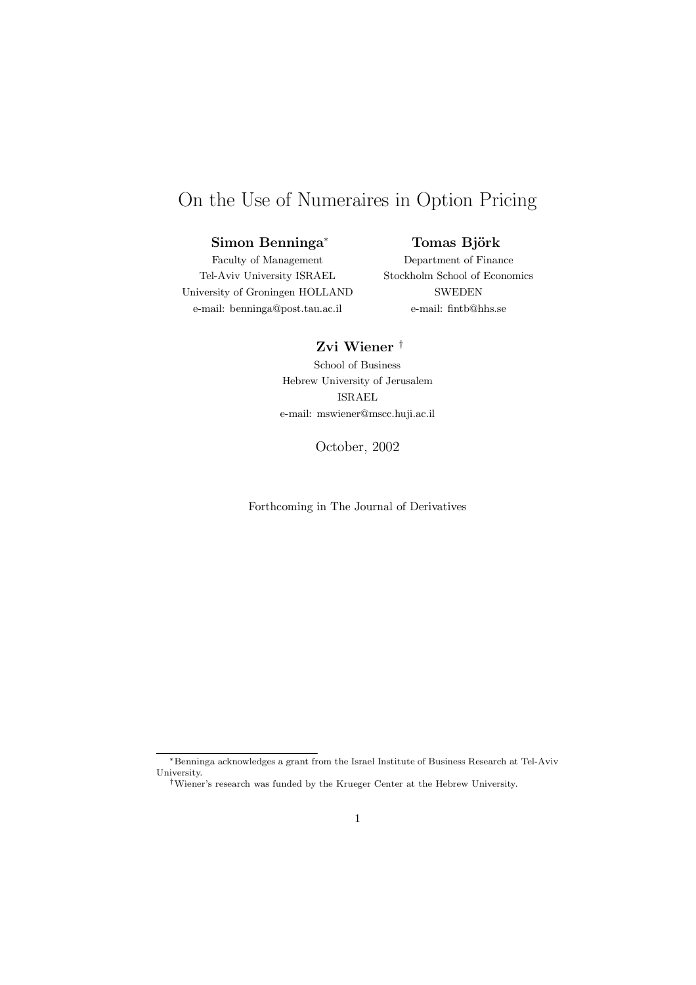# On the Use of Numeraires in Option Pricing

## Simon Benninga *¤*

## Tomas Björk

Faculty of Management Tel-Aviv University ISRAEL University of Groningen HOLLAND e-mail: benninga@post.tau.ac.il

Department of Finance Stockholm School of Economics **SWEDEN** e-mail: fintb@hhs.se

## Zvi Wiener †

School of Business Hebrew University of Jerusalem ISRAEL e-mail: mswiener@mscc.huji.ac.il

October, 2002

Forthcoming in The Journal of Derivatives

*<sup>\*</sup>*Benninga acknowledges a grant from the Israel Institute of Business Research at Tel-Aviv University.

<sup>&</sup>lt;sup>†</sup>Wiener's research was funded by the Krueger Center at the Hebrew University.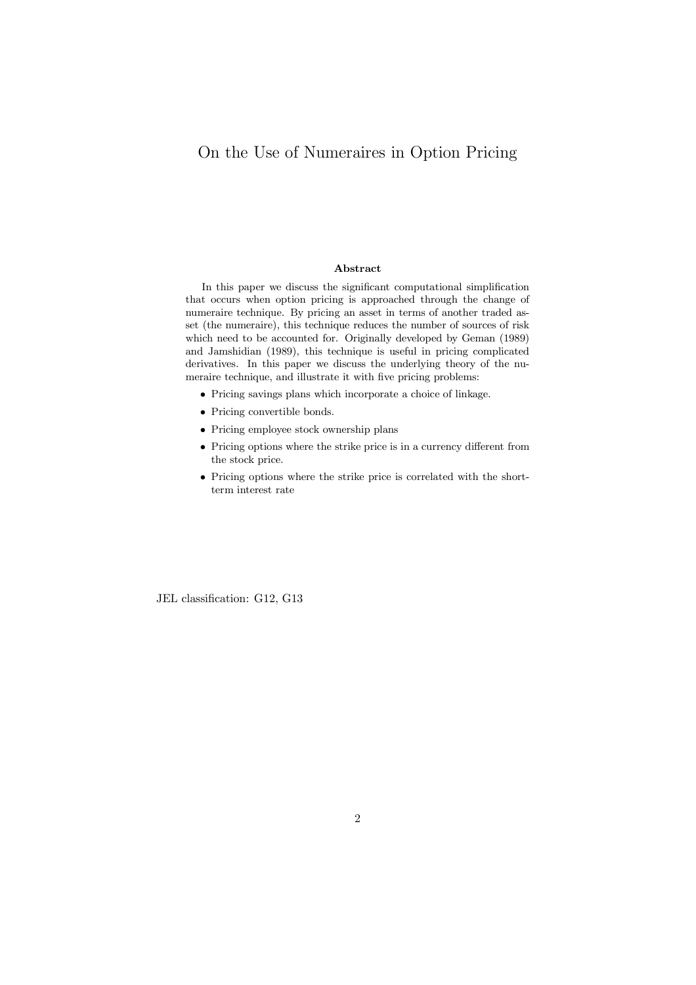# On the Use of Numeraires in Option Pricing

#### **Abstract**

In this paper we discuss the significant computational simplification that occurs when option pricing is approached through the change of numeraire technique. By pricing an asset in terms of another traded asset (the numeraire), this technique reduces the number of sources of risk which need to be accounted for. Originally developed by Geman (1989) and Jamshidian (1989), this technique is useful in pricing complicated derivatives. In this paper we discuss the underlying theory of the numeraire technique, and illustrate it with five pricing problems:

- Pricing savings plans which incorporate a choice of linkage.
- $\bullet$  Pricing convertible bonds.
- Pricing employee stock ownership plans
- Pricing options where the strike price is in a currency different from the stock price.
- *²* Pricing options where the strike price is correlated with the shortterm interest rate

JEL classification: G12, G13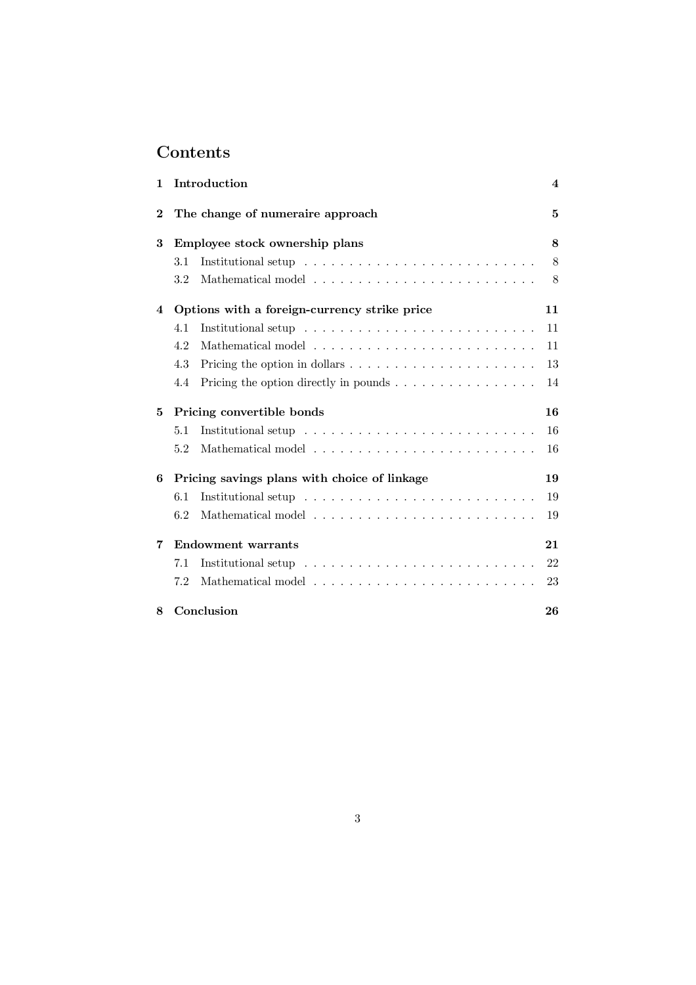# **Contents**

| 1        |                                              | Introduction                                                               | $\overline{\mathbf{4}}$ |
|----------|----------------------------------------------|----------------------------------------------------------------------------|-------------------------|
| $\bf{2}$ | The change of numeraire approach             |                                                                            | 5                       |
| 3        | Employee stock ownership plans               |                                                                            | 8                       |
|          | 3.1                                          |                                                                            | 8                       |
|          | 3.2                                          |                                                                            | 8                       |
| 4        | Options with a foreign-currency strike price |                                                                            | 11                      |
|          | 4.1                                          |                                                                            | 11                      |
|          | 4.2                                          |                                                                            | 11                      |
|          | 4.3                                          |                                                                            | 13                      |
|          | 4.4                                          | Pricing the option directly in pounds $\ldots \ldots \ldots \ldots \ldots$ | 14                      |
| 5        | Pricing convertible bonds                    |                                                                            | 16                      |
|          | 5.1                                          |                                                                            | 16                      |
|          | 5.2                                          |                                                                            | 16                      |
| 6        | Pricing savings plans with choice of linkage |                                                                            | 19                      |
|          | 6.1                                          |                                                                            | 19                      |
|          | 6.2                                          |                                                                            | 19                      |
| 7        | <b>Endowment warrants</b>                    |                                                                            | 21                      |
|          | 7.1                                          |                                                                            | 22                      |
|          | 7.2                                          |                                                                            | 23                      |
| 8        |                                              | Conclusion                                                                 | 26                      |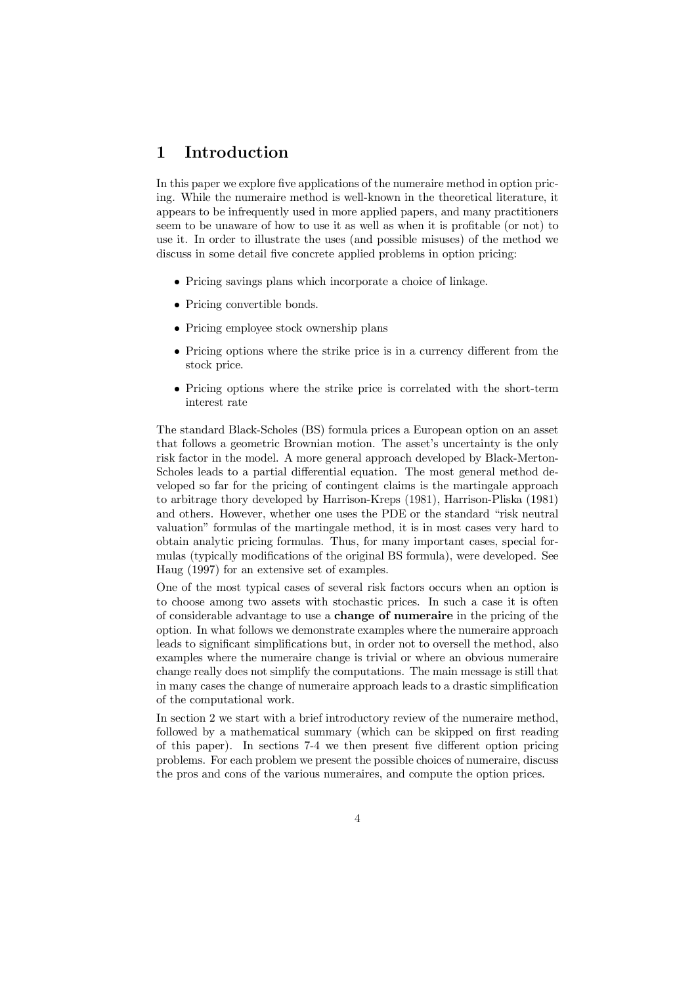# 1 Introduction

In this paper we explore five applications of the numeraire method in option pricing. While the numeraire method is well-known in the theoretical literature, it appears to be infrequently used in more applied papers, and many practitioners seem to be unaware of how to use it as well as when it is profitable (or not) to use it. In order to illustrate the uses (and possible misuses) of the method we discuss in some detail five concrete applied problems in option pricing:

- Pricing savings plans which incorporate a choice of linkage.
- Pricing convertible bonds.
- Pricing employee stock ownership plans
- Pricing options where the strike price is in a currency different from the stock price.
- Pricing options where the strike price is correlated with the short-term interest rate

The standard Black-Scholes (BS) formula prices a European option on an asset that follows a geometric Brownian motion. The asset's uncertainty is the only risk factor in the model. A more general approach developed by Black-Merton-Scholes leads to a partial differential equation. The most general method developed so far for the pricing of contingent claims is the martingale approach to arbitrage thory developed by Harrison-Kreps (1981), Harrison-Pliska (1981) and others. However, whether one uses the PDE or the standard "risk neutral valuation" formulas of the martingale method, it is in most cases very hard to obtain analytic pricing formulas. Thus, for many important cases, special formulas (typically modifications of the original BS formula), were developed. See Haug (1997) for an extensive set of examples.

One of the most typical cases of several risk factors occurs when an option is to choose among two assets with stochastic prices. In such a case it is often of considerable advantage to use a change of numeraire in the pricing of the option. In what follows we demonstrate examples where the numeraire approach leads to significant simplifications but, in order not to oversell the method, also examples where the numeraire change is trivial or where an obvious numeraire change really does not simplify the computations. The main message is still that in many cases the change of numeraire approach leads to a drastic simplification of the computational work.

In section 2 we start with a brief introductory review of the numeraire method, followed by a mathematical summary (which can be skipped on first reading of this paper). In sections 7-4 we then present five different option pricing problems. For each problem we present the possible choices of numeraire, discuss the pros and cons of the various numeraires, and compute the option prices.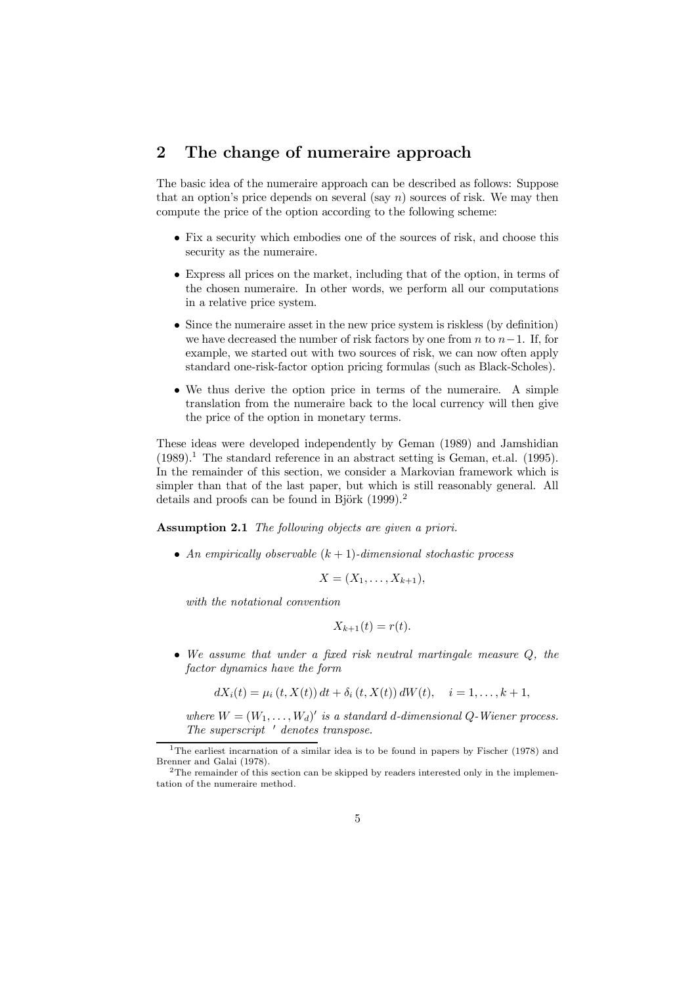# 2 The change of numeraire approach

The basic idea of the numeraire approach can be described as follows: Suppose that an option's price depends on several (say *n*) sources of risk. We may then compute the price of the option according to the following scheme:

- Fix a security which embodies one of the sources of risk, and choose this security as the numeraire.
- *²* Express all prices on the market, including that of the option, in terms of the chosen numeraire. In other words, we perform all our computations in a relative price system.
- Since the numeraire asset in the new price system is riskless (by definition) we have decreased the number of risk factors by one from *n* to  $n-1$ . If, for example, we started out with two sources of risk, we can now often apply standard one-risk-factor option pricing formulas (such as Black-Scholes).
- We thus derive the option price in terms of the numeraire. A simple translation from the numeraire back to the local currency will then give the price of the option in monetary terms.

These ideas were developed independently by Geman (1989) and Jamshidian  $(1989).$ <sup>1</sup> The standard reference in an abstract setting is Geman, et.al.  $(1995).$ In the remainder of this section, we consider a Markovian framework which is simpler than that of the last paper, but which is still reasonably general. All details and proofs can be found in Björk  $(1999).<sup>2</sup>$ 

Assumption 2.1 *The following objects are given a priori.*

• An empirically observable  $(k + 1)$ -dimensional stochastic process

$$
X=(X_1,\ldots,X_{k+1}),
$$

*with the notational convention*

$$
X_{k+1}(t) = r(t).
$$

*² We assume that under a ¯xed risk neutral martingale measure Q, the factor dynamics have the form*

$$
dX_i(t) = \mu_i(t, X(t)) dt + \delta_i(t, X(t)) dW(t), \quad i = 1, \dots, k+1,
$$

*where*  $W = (W_1, \ldots, W_d)'$  *is a standard d-dimensional Q-Wiener process. The superscript <sup>0</sup> denotes transpose.*

<sup>&</sup>lt;sup>1</sup>The earliest incarnation of a similar idea is to be found in papers by Fischer (1978) and Brenner and Galai (1978).

<sup>&</sup>lt;sup>2</sup>The remainder of this section can be skipped by readers interested only in the implementation of the numeraire method.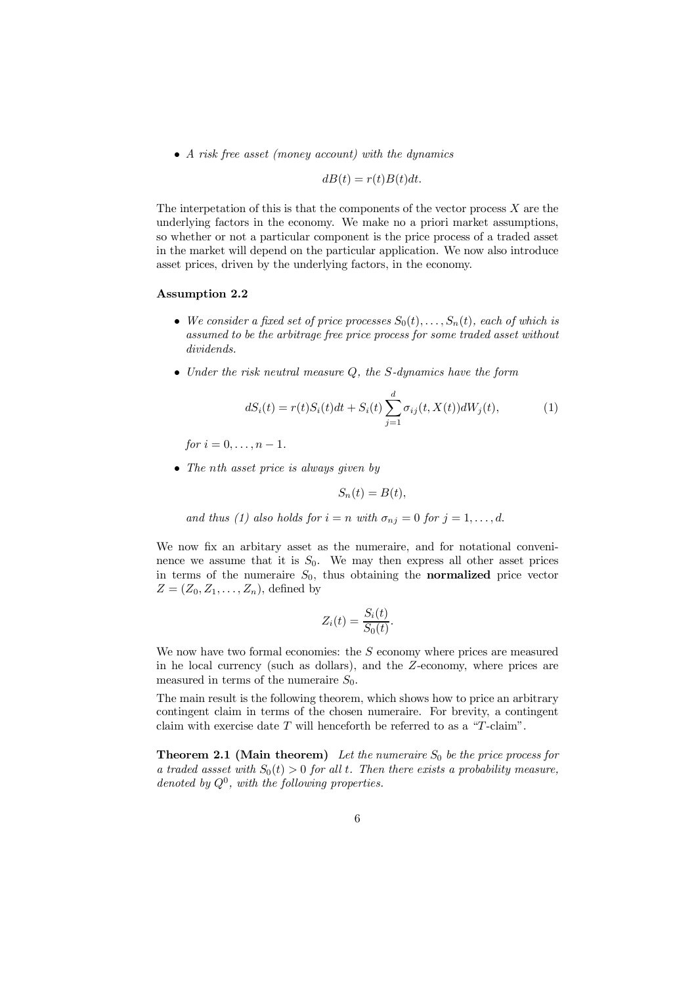*² A risk free asset (money account) with the dynamics*

$$
dB(t) = r(t)B(t)dt.
$$

The interpetation of this is that the components of the vector process *X* are the underlying factors in the economy. We make no a priori market assumptions, so whether or not a particular component is the price process of a traded asset in the market will depend on the particular application. We now also introduce asset prices, driven by the underlying factors, in the economy.

#### Assumption 2.2

- We consider a fixed set of price processes  $S_0(t), \ldots, S_n(t)$ , each of which is *assumed to be the arbitrage free price process for some traded asset without dividends.*
- *² Under the risk neutral measure Q, the S-dynamics have the form*

$$
dS_i(t) = r(t)S_i(t)dt + S_i(t)\sum_{j=1}^d \sigma_{ij}(t, X(t))dW_j(t),
$$
\n(1)

 $for i = 0, \ldots, n - 1.$ 

*² The nth asset price is always given by*

$$
S_n(t) = B(t),
$$

*and thus* (1) *also holds for*  $i = n$  *with*  $\sigma_{nj} = 0$  *for*  $j = 1, \ldots, d$ .

We now fix an arbitary asset as the numeraire, and for notational conveninence we assume that it is  $S_0$ . We may then express all other asset prices in terms of the numeraire  $S_0$ , thus obtaining the **normalized** price vector  $Z = (Z_0, Z_1, \ldots, Z_n)$ , defined by

$$
Z_i(t) = \frac{S_i(t)}{S_0(t)}.
$$

We now have two formal economies: the *S* economy where prices are measured in he local currency (such as dollars), and the *Z*-economy, where prices are measured in terms of the numeraire  $S_0$ .

The main result is the following theorem, which shows how to price an arbitrary contingent claim in terms of the chosen numeraire. For brevity, a contingent claim with exercise date *T* will henceforth be referred to as a \*T*-claim".

**Theorem 2.1 (Main theorem)** Let the numeraire  $S_0$  be the price process for *a traded assset with*  $S_0(t) > 0$  *for all t. Then there exists a probability measure, denoted by Q*<sup>0</sup> *, with the following properties.*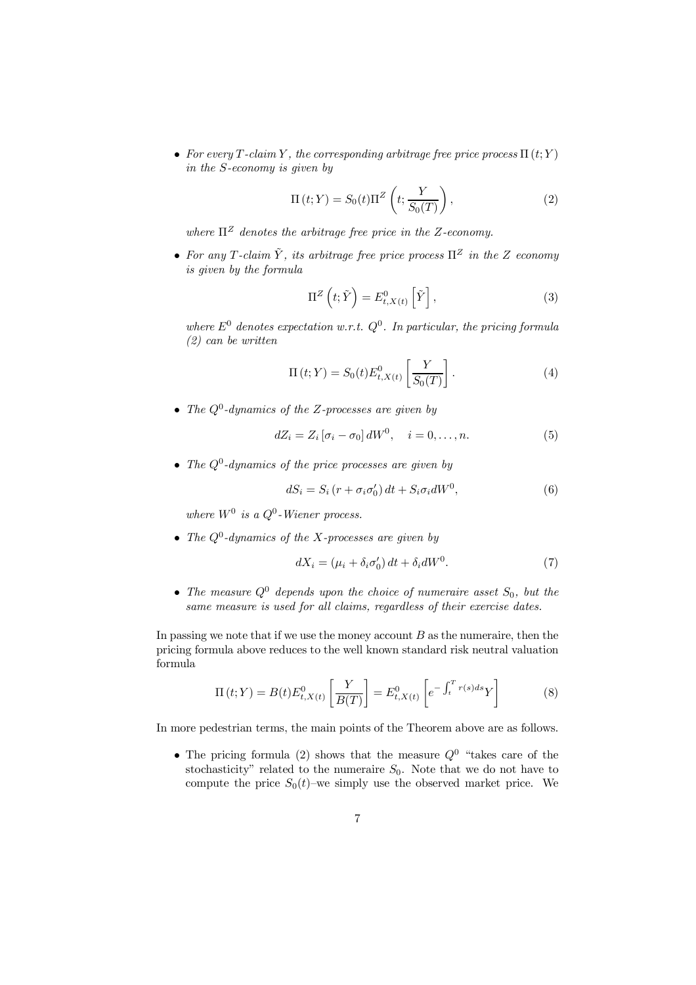• For every  $T$ -claim  $Y$ , the corresponding arbitrage free price process  $\Pi(t;Y)$ *in the S-economy is given by*

$$
\Pi(t;Y) = S_0(t)\Pi^Z\left(t; \frac{Y}{S_0(T)}\right),\tag{2}
$$

*where*  $\Pi^Z$  *denotes the arbitrage free price in the Z-economy.* 

• For any *T*-claim  $\tilde{Y}$ , its arbitrage free price process  $\Pi^Z$  in the *Z* economy *is given by the formula*

$$
\Pi^{Z}\left(t;\tilde{Y}\right) = E_{t,X\left(t\right)}^{0}\left[\tilde{Y}\right],\tag{3}
$$

 $where E<sup>0</sup> denotes expectation w.r.t. Q<sup>0</sup>. In particular, the pricing formula$ *(2) can be written*

$$
\Pi(t;Y) = S_0(t)E_{t,X(t)}^0 \left[ \frac{Y}{S_0(T)} \right].
$$
 (4)

*<sup>²</sup> The <sup>Q</sup>*<sup>0</sup> *-dynamics of the Z-processes are given by*

$$
dZ_i = Z_i \left[ \sigma_i - \sigma_0 \right] dW^0, \quad i = 0, \dots, n. \tag{5}
$$

*<sup>²</sup> The <sup>Q</sup>*<sup>0</sup> *-dynamics of the price processes are given by*

$$
dS_i = S_i (r + \sigma_i \sigma'_0) dt + S_i \sigma_i dW^0, \qquad (6)
$$

*where*  $W^0$  *is* a  $Q^0$ -Wiener process.

*<sup>²</sup> The <sup>Q</sup>*<sup>0</sup> *-dynamics of the X-processes are given by*

$$
dX_i = (\mu_i + \delta_i \sigma'_0) dt + \delta_i dW^0.
$$
 (7)

*<sup>²</sup> The measure <sup>Q</sup>*<sup>0</sup> *depends upon the choice of numeraire asset <sup>S</sup>*0*, but the same measure is used for all claims, regardless of their exercise dates.*

In passing we note that if we use the money account *B* as the numeraire, then the pricing formula above reduces to the well known standard risk neutral valuation formula

$$
\Pi(t;Y) = B(t)E_{t,X(t)}^0 \left[\frac{Y}{B(T)}\right] = E_{t,X(t)}^0 \left[e^{-\int_t^T r(s)ds} Y\right]
$$
(8)

In more pedestrian terms, the main points of the Theorem above are as follows.

• The pricing formula (2) shows that the measure  $Q^0$  "takes care of the stochasticity" related to the numeraire  $S_0$ . Note that we do not have to compute the price  $S_0(t)$ -we simply use the observed market price. We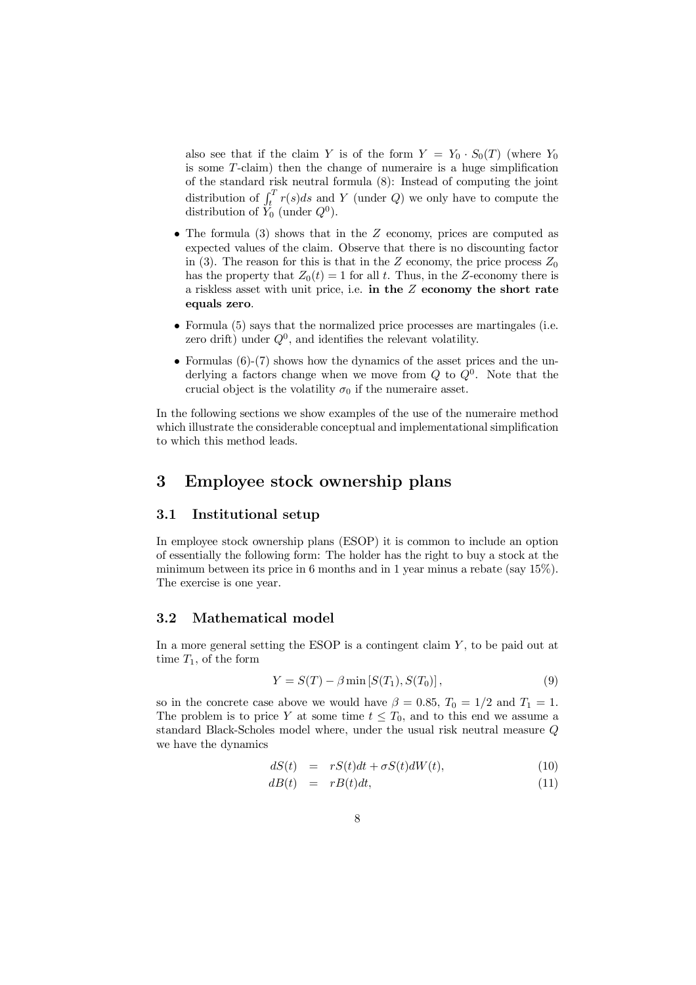also see that if the claim *Y* is of the form  $Y = Y_0 \cdot S_0(T)$  (where  $Y_0$ is some  $T$ -claim) then the change of numeraire is a huge simplification of the standard risk neutral formula (8): Instead of computing the joint distribution of  $\int_t^T r(s)ds$  and *Y* (under *Q*) we only have to compute the distribution of  $\tilde{Y}_0$  (under  $Q^0$ ).

- The formula (3) shows that in the *Z* economy, prices are computed as expected values of the claim. Observe that there is no discounting factor in (3). The reason for this is that in the *Z* economy, the price process  $Z_0$ has the property that  $Z_0(t) = 1$  for all *t*. Thus, in the *Z*-economy there is a riskless asset with unit price, i.e. in the *Z* economy the short rate equals zero.
- Formula (5) says that the normalized price processes are martingales (i.e. zero drift) under  $Q^0$ , and identifies the relevant volatility.
- Formulas (6)-(7) shows how the dynamics of the asset prices and the underlying a factors change when we move from *Q* to *Q*<sup>0</sup> . Note that the crucial object is the volatility  $\sigma_0$  if the numeraire asset.

In the following sections we show examples of the use of the numeraire method which illustrate the considerable conceptual and implementational simplification to which this method leads.

# 3 Employee stock ownership plans

#### 3.1 Institutional setup

In employee stock ownership plans (ESOP) it is common to include an option of essentially the following form: The holder has the right to buy a stock at the minimum between its price in 6 months and in 1 year minus a rebate (say 15%). The exercise is one year.

### 3.2 Mathematical model

In a more general setting the ESOP is a contingent claim *Y* , to be paid out at time  $T_1$ , of the form

$$
Y = S(T) - \beta \min [S(T_1), S(T_0)], \qquad (9)
$$

so in the concrete case above we would have  $\beta = 0.85$ ,  $T_0 = 1/2$  and  $T_1 = 1$ . The problem is to price *Y* at some time  $t \leq T_0$ , and to this end we assume a standard Black-Scholes model where, under the usual risk neutral measure *Q* we have the dynamics

$$
dS(t) = rS(t)dt + \sigma S(t)dW(t), \qquad (10)
$$

$$
dB(t) = rB(t)dt, \t(11)
$$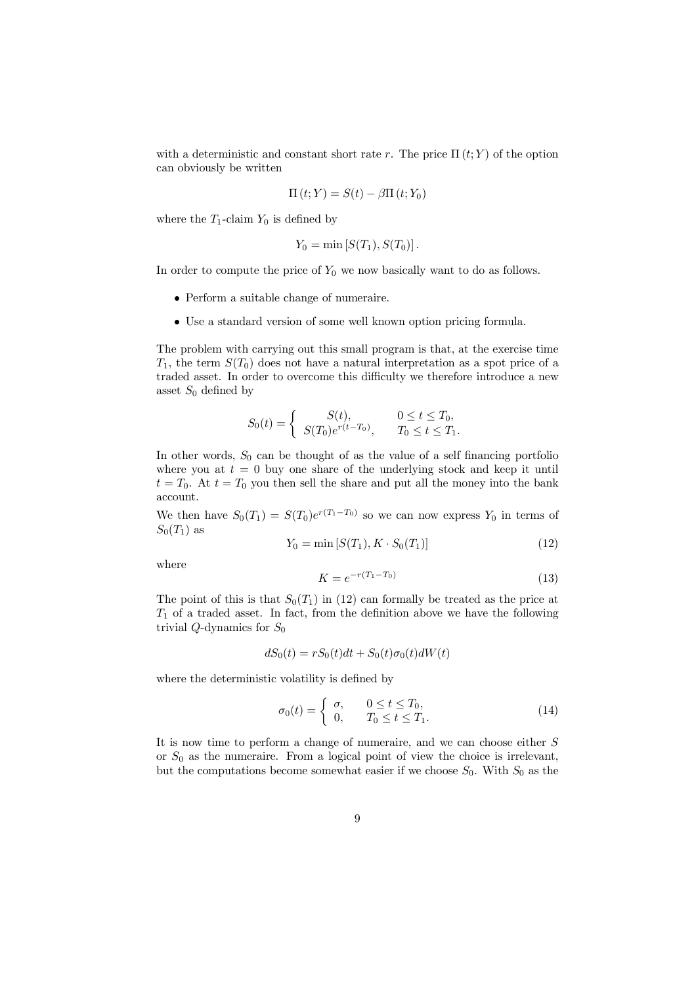with a deterministic and constant short rate *r*. The price  $\Pi(t; Y)$  of the option can obviously be written

$$
\Pi(t;Y) = S(t) - \beta \Pi(t;Y_0)
$$

where the  $T_1$ -claim  $Y_0$  is defined by

$$
Y_0 = \min \left[ S(T_1), S(T_0) \right].
$$

In order to compute the price of  $Y_0$  we now basically want to do as follows.

- Perform a suitable change of numeraire.
- Use a standard version of some well known option pricing formula.

The problem with carrying out this small program is that, at the exercise time  $T_1$ , the term  $S(T_0)$  does not have a natural interpretation as a spot price of a traded asset. In order to overcome this difficulty we therefore introduce a new asset  $S_0$  defined by

$$
S_0(t) = \begin{cases} S(t), & 0 \le t \le T_0, \\ S(T_0)e^{r(t-T_0)}, & T_0 \le t \le T_1. \end{cases}
$$

In other words,  $S_0$  can be thought of as the value of a self financing portfolio where you at  $t = 0$  buy one share of the underlying stock and keep it until  $t = T_0$ . At  $t = T_0$  you then sell the share and put all the money into the bank account.

We then have  $S_0(T_1) = S(T_0)e^{r(T_1-T_0)}$  so we can now express  $Y_0$  in terms of  $S_0(T_1)$  as

$$
Y_0 = \min [S(T_1), K \cdot S_0(T_1)] \tag{12}
$$

where

$$
K = e^{-r(T_1 - T_0)}\tag{13}
$$

The point of this is that  $S_0(T_1)$  in (12) can formally be treated as the price at  $T_1$  of a traded asset. In fact, from the definition above we have the following trivial *Q*-dynamics for *S*<sup>0</sup>

$$
dS_0(t) = rS_0(t)dt + S_0(t)\sigma_0(t)dW(t)
$$

where the deterministic volatility is defined by

$$
\sigma_0(t) = \begin{cases} \sigma, & 0 \le t \le T_0, \\ 0, & T_0 \le t \le T_1. \end{cases}
$$
\n(14)

It is now time to perform a change of numeraire, and we can choose either *S* or *S*<sup>0</sup> as the numeraire. From a logical point of view the choice is irrelevant, but the computations become somewhat easier if we choose  $S_0$ . With  $S_0$  as the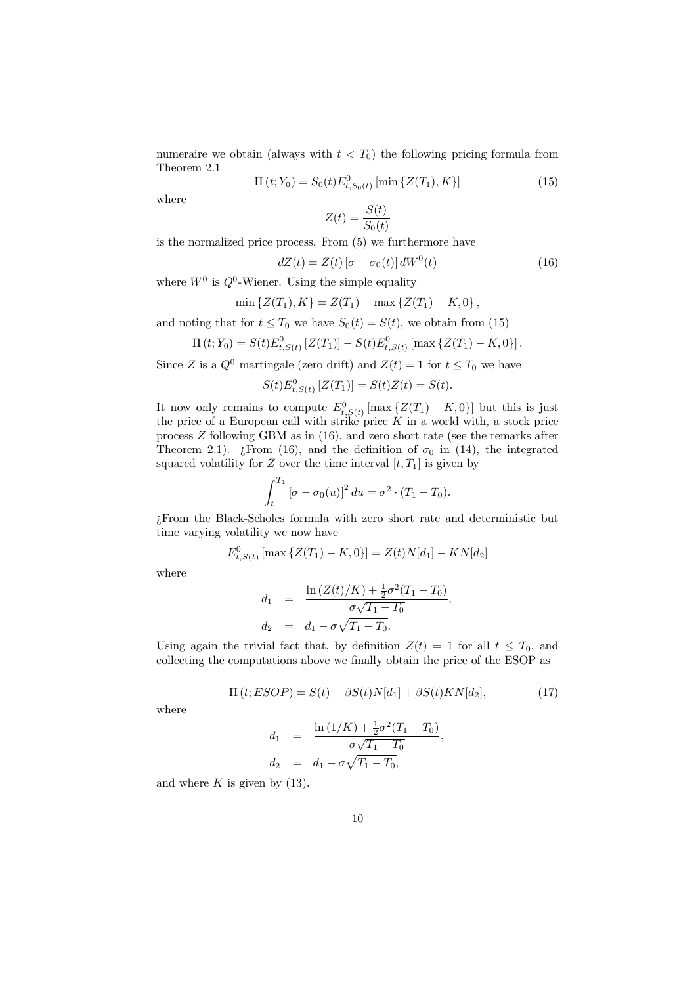numeraire we obtain (always with  $t < T_0$ ) the following pricing formula from Theorem 2.1

$$
\Pi(t; Y_0) = S_0(t) E_{t, S_0(t)}^0 \left[ \min \{ Z(T_1), K \} \right]
$$
\n(15)

where

$$
Z(t) = \frac{S(t)}{S_0(t)}
$$

is the normalized price process. From (5) we furthermore have

$$
dZ(t) = Z(t) \left[\sigma - \sigma_0(t)\right] dW^0(t) \tag{16}
$$

where  $W^0$  is  $Q^0$ -Wiener. Using the simple equality

$$
\min\left\{Z(T_1),K\right\} = Z(T_1) - \max\left\{Z(T_1) - K,0\right\},\
$$

and noting that for  $t \leq T_0$  we have  $S_0(t) = S(t)$ , we obtain from (15)

$$
\Pi(t;Y_0) = S(t)E_{t,S(t)}^0\left[Z(T_1)\right] - S(t)E_{t,S(t)}^0\left[\max\left\{Z(T_1) - K, 0\right\}\right].
$$

Since *Z* is a  $Q^0$  martingale (zero drift) and  $Z(t) = 1$  for  $t \leq T_0$  we have

$$
S(t)E_{t,S(t)}^{0}[Z(T_1)] = S(t)Z(t) = S(t).
$$

It now only remains to compute  $E_{t,S(t)}^0$  [max  $\{Z(T_1) - K, 0\}$ ] but this is just the price of a European call with strike price *K* in a world with, a stock price process *Z* following GBM as in (16), and zero short rate (see the remarks after Theorem 2.1).  $\bar{E}$ From (16), and the definition of  $\sigma_0$  in (14), the integrated squared volatility for *Z* over the time interval  $[t, T_1]$  is given by

$$
\int_t^{T_1} \left[\sigma - \sigma_0(u)\right]^2 du = \sigma^2 \cdot (T_1 - T_0).
$$

>From the Black-Scholes formula with zero short rate and deterministic but time varying volatility we now have

$$
E_{t,S(t)}^0[\max\{Z(T_1)-K,0\}] = Z(t)N[d_1]-KN[d_2]
$$

where

$$
d_1 = \frac{\ln\left(Z(t)/K\right) + \frac{1}{2}\sigma^2 (T_1 - T_0)}{\sigma\sqrt{T_1 - T_0}}
$$
  
\n
$$
d_2 = d_1 - \sigma\sqrt{T_1 - T_0}.
$$

Using again the trivial fact that, by definition  $Z(t) = 1$  for all  $t \leq T_0$ , and collecting the computations above we finally obtain the price of the ESOP as

$$
\Pi(t;ESOP) = S(t) - \beta S(t)N[d_1] + \beta S(t)KN[d_2],\tag{17}
$$

*;*

where

$$
d_1 = \frac{\ln(1/K) + \frac{1}{2}\sigma^2(T_1 - T_0)}{\sigma\sqrt{T_1 - T_0}},
$$
  
\n
$$
d_2 = d_1 - \sigma\sqrt{T_1 - T_0},
$$

and where  $K$  is given by  $(13)$ .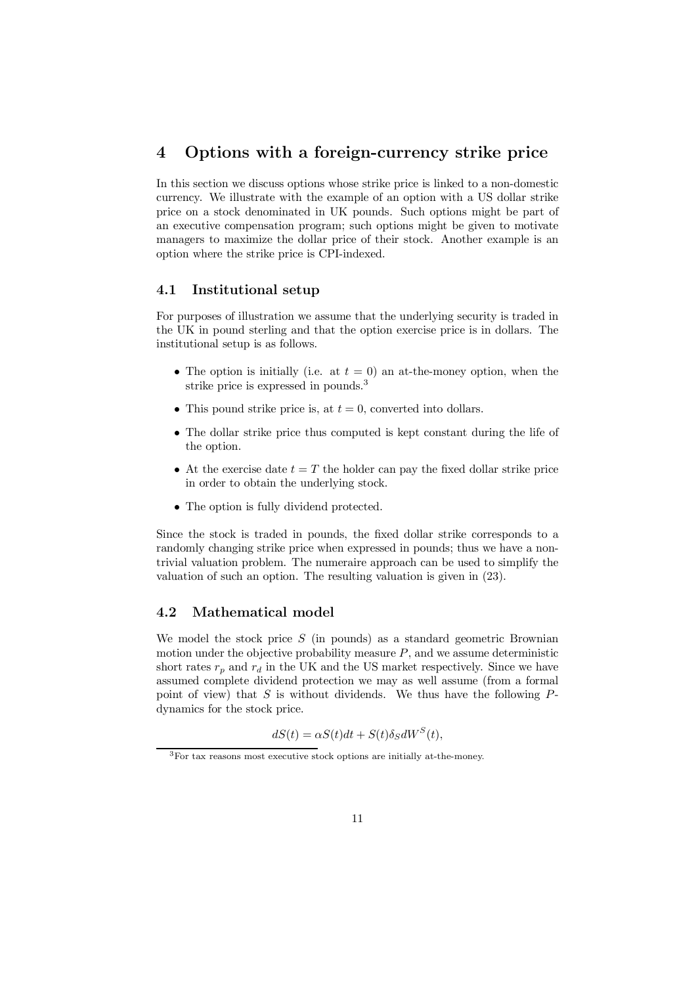# 4 Options with a foreign-currency strike price

In this section we discuss options whose strike price is linked to a non-domestic currency. We illustrate with the example of an option with a US dollar strike price on a stock denominated in UK pounds. Such options might be part of an executive compensation program; such options might be given to motivate managers to maximize the dollar price of their stock. Another example is an option where the strike price is CPI-indexed.

### 4.1 Institutional setup

For purposes of illustration we assume that the underlying security is traded in the UK in pound sterling and that the option exercise price is in dollars. The institutional setup is as follows.

- The option is initially (i.e. at  $t = 0$ ) an at-the-money option, when the strike price is expressed in pounds.<sup>3</sup>
- This pound strike price is, at  $t = 0$ , converted into dollars.
- The dollar strike price thus computed is kept constant during the life of the option.
- At the exercise date  $t = T$  the holder can pay the fixed dollar strike price in order to obtain the underlying stock.
- The option is fully dividend protected.

Since the stock is traded in pounds, the fixed dollar strike corresponds to a randomly changing strike price when expressed in pounds; thus we have a nontrivial valuation problem. The numeraire approach can be used to simplify the valuation of such an option. The resulting valuation is given in (23).

## 4.2 Mathematical model

We model the stock price *S* (in pounds) as a standard geometric Brownian motion under the objective probability measure  $P$ , and we assume deterministic short rates  $r_p$  and  $r_d$  in the UK and the US market respectively. Since we have assumed complete dividend protection we may as well assume (from a formal point of view) that *S* is without dividends. We thus have the following *P*dynamics for the stock price.

$$
dS(t) = \alpha S(t)dt + S(t)\delta_S dW^S(t),
$$

 ${}^{3}$ For tax reasons most executive stock options are initially at-the-money.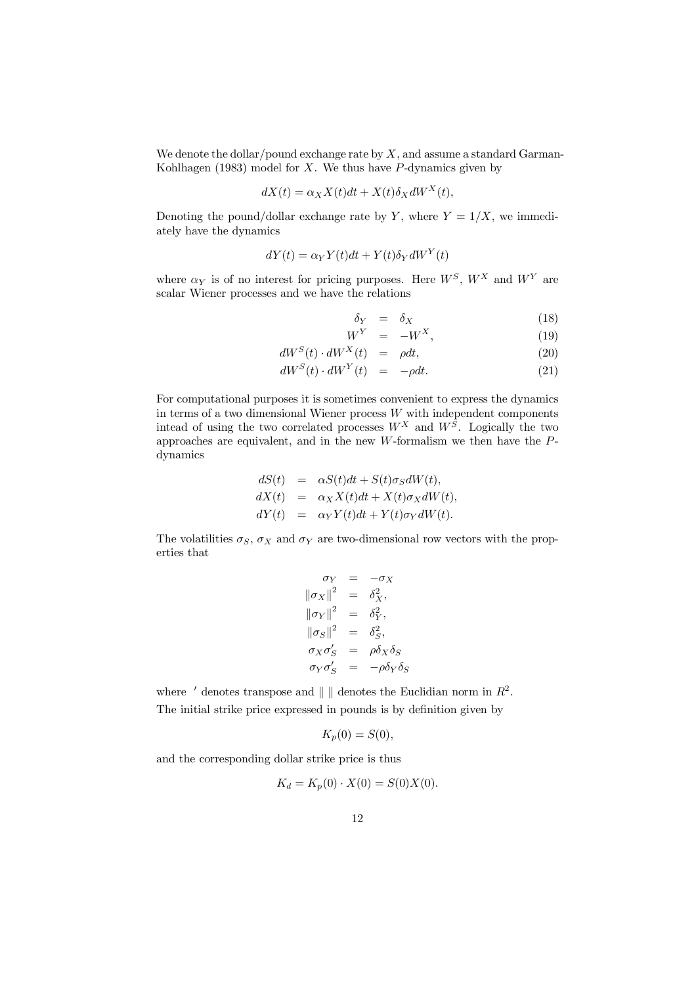We denote the dollar/pound exchange rate by *X*, and assume a standard Garman-Kohlhagen (1983) model for *X*. We thus have *P*-dynamics given by

$$
dX(t) = \alpha_X X(t)dt + X(t)\delta_X dW^X(t),
$$

Denoting the pound/dollar exchange rate by *Y*, where  $Y = 1/X$ , we immediately have the dynamics

$$
dY(t) = \alpha_Y Y(t)dt + Y(t)\delta_Y dW^Y(t)
$$

where  $\alpha_Y$  is of no interest for pricing purposes. Here  $W^S$ ,  $W^X$  and  $W^Y$  are scalar Wiener processes and we have the relations

$$
\delta_Y = \delta_X \tag{18}
$$

$$
W^Y = -W^X,\t\t(19)
$$

$$
dW^{S}(t) \cdot dW^{X}(t) = \rho dt, \qquad (20)
$$

$$
dW^{S}(t) \cdot dW^{Y}(t) = -\rho dt. \qquad (21)
$$

For computational purposes it is sometimes convenient to express the dynamics in terms of a two dimensional Wiener process *W* with independent components intead of using the two correlated processes  $W^X$  and  $W^S$ . Logically the two approaches are equivalent, and in the new *W*-formalism we then have the *P*dynamics

$$
dS(t) = \alpha S(t)dt + S(t)\sigma_S dW(t),
$$
  
\n
$$
dX(t) = \alpha_X X(t)dt + X(t)\sigma_X dW(t),
$$
  
\n
$$
dY(t) = \alpha_Y Y(t)dt + Y(t)\sigma_Y dW(t).
$$

The volatilities  $\sigma_S$ ,  $\sigma_X$  and  $\sigma_Y$  are two-dimensional row vectors with the properties that

$$
\begin{aligned}\n\sigma_Y &= -\sigma_X \\
\|\sigma_X\|^2 &= \delta_X^2, \\
\|\sigma_Y\|^2 &= \delta_Y^2, \\
\sigma_X\sigma_S' &= \delta_S^2, \\
\sigma_X\sigma_S' &= \rho\delta_X\delta_S \\
\sigma_Y\sigma_S' &= -\rho\delta_Y\delta_S\n\end{aligned}
$$

where  $\prime$  denotes transpose and  $\parallel \parallel$  denotes the Euclidian norm in  $R^2$ . The initial strike price expressed in pounds is by definition given by

$$
K_p(0) = S(0),
$$

and the corresponding dollar strike price is thus

$$
K_d = K_p(0) \cdot X(0) = S(0)X(0).
$$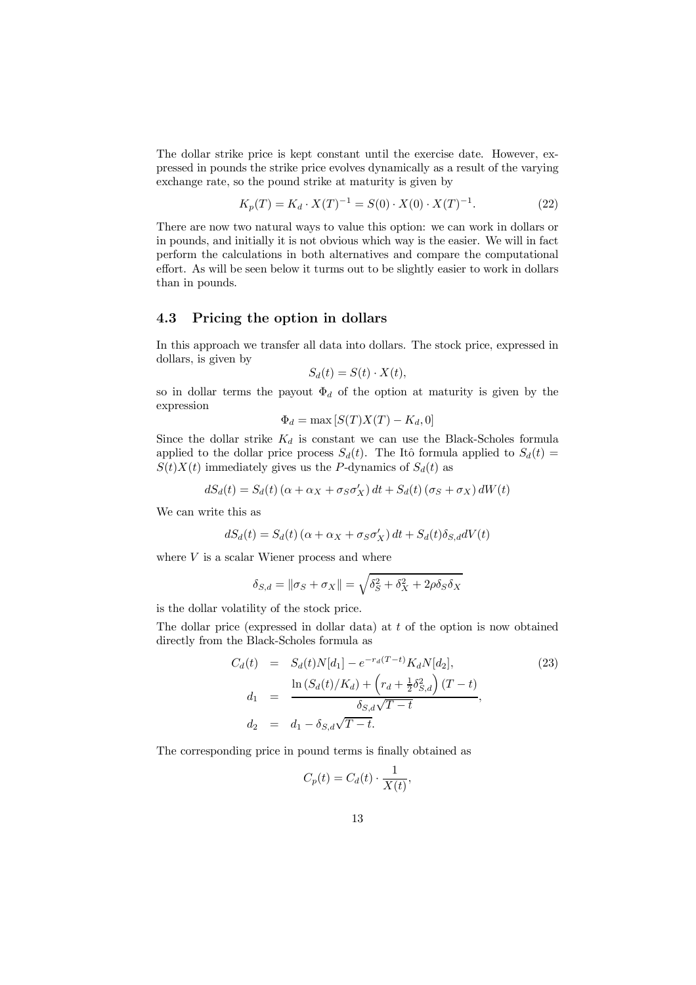The dollar strike price is kept constant until the exercise date. However, expressed in pounds the strike price evolves dynamically as a result of the varying exchange rate, so the pound strike at maturity is given by

$$
K_p(T) = K_d \cdot X(T)^{-1} = S(0) \cdot X(0) \cdot X(T)^{-1}.
$$
 (22)

There are now two natural ways to value this option: we can work in dollars or in pounds, and initially it is not obvious which way is the easier. We will in fact perform the calculations in both alternatives and compare the computational effort. As will be seen below it turms out to be slightly easier to work in dollars than in pounds.

#### 4.3 Pricing the option in dollars

In this approach we transfer all data into dollars. The stock price, expressed in dollars, is given by

$$
S_d(t) = S(t) \cdot X(t),
$$

so in dollar terms the payout  $\Phi_d$  of the option at maturity is given by the expression

$$
\Phi_d = \max\left[S(T)X(T) - K_d, 0\right]
$$

Since the dollar strike  $K_d$  is constant we can use the Black-Scholes formula applied to the dollar price process  $S_d(t)$ . The Itô formula applied to  $S_d(t)$  =  $S(t)X(t)$  immediately gives us the *P*-dynamics of  $S_d(t)$  as

$$
dS_d(t) = S_d(t) (\alpha + \alpha_X + \sigma_S \sigma'_X) dt + S_d(t) (\sigma_S + \sigma_X) dW(t)
$$

We can write this as

$$
dS_d(t) = S_d(t) \left( \alpha + \alpha_X + \sigma_S \sigma'_X \right) dt + S_d(t) \delta_{S,d} dV(t)
$$

where *V* is a scalar Wiener process and where

$$
\delta_{S,d} = \|\sigma_S + \sigma_X\| = \sqrt{\delta_S^2 + \delta_X^2 + 2\rho\delta_S\delta_X}
$$

is the dollar volatility of the stock price.

The dollar price (expressed in dollar data) at *t* of the option is now obtained directly from the Black-Scholes formula as

$$
C_d(t) = S_d(t)N[d_1] - e^{-r_d(T-t)}K_dN[d_2],
$$
\n
$$
d_1 = \frac{\ln(S_d(t)/K_d) + \left(r_d + \frac{1}{2}\delta_{S,d}^2\right)(T-t)}{\delta_{S,d}\sqrt{T-t}},
$$
\n
$$
d_2 = d_1 - \delta_{S,d}\sqrt{T-t}.
$$
\n(23)

The corresponding price in pound terms is finally obtained as

$$
C_p(t) = C_d(t) \cdot \frac{1}{X(t)},
$$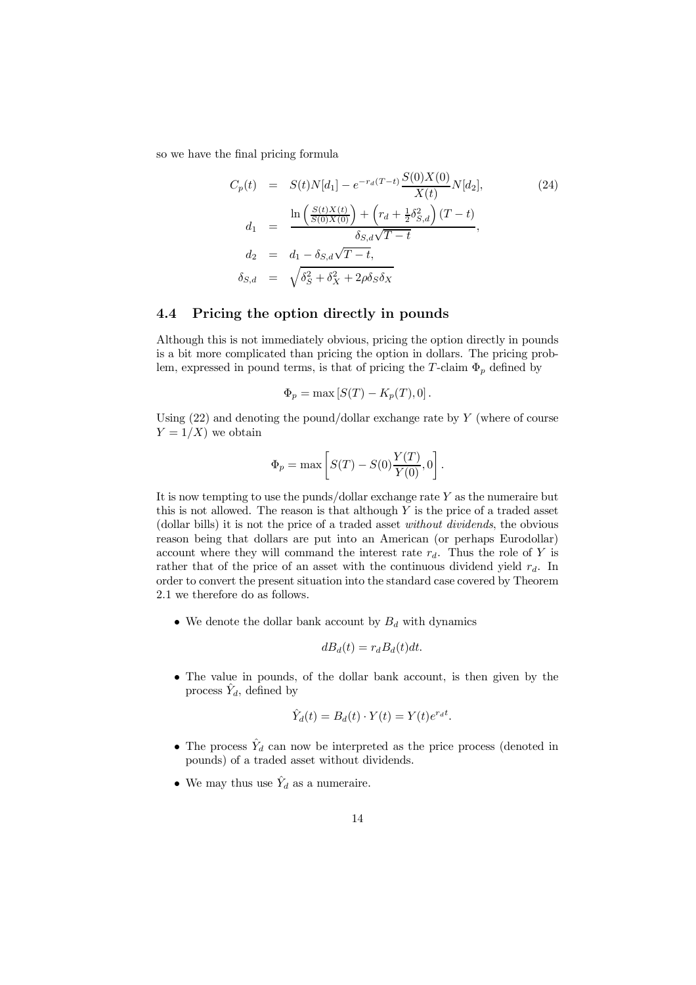so we have the final pricing formula

$$
C_p(t) = S(t)N[d_1] - e^{-r_d(T-t)} \frac{S(0)X(0)}{X(t)} N[d_2],
$$
\n
$$
d_1 = \frac{\ln\left(\frac{S(t)X(t)}{S(0)X(0)}\right) + \left(r_d + \frac{1}{2}\delta_{S,d}^2\right)(T-t)}{\delta_{S,d}\sqrt{T-t}},
$$
\n
$$
d_2 = d_1 - \delta_{S,d}\sqrt{T-t},
$$
\n
$$
\delta_{S,d} = \sqrt{\delta_S^2 + \delta_X^2 + 2\rho\delta_S\delta_X}
$$
\n(24)

## 4.4 Pricing the option directly in pounds

Although this is not immediately obvious, pricing the option directly in pounds is a bit more complicated than pricing the option in dollars. The pricing problem, expressed in pound terms, is that of pricing the *T*-claim  $\Phi_p$  defined by

$$
\Phi_p = \max [S(T) - K_p(T), 0].
$$

Using (22) and denoting the pound/dollar exchange rate by *Y* (where of course  $Y = 1/X$  we obtain

$$
\Phi_p = \max \left[ S(T) - S(0) \frac{Y(T)}{Y(0)}, 0 \right].
$$

It is now tempting to use the punds/dollar exchange rate *Y* as the numeraire but this is not allowed. The reason is that although *Y* is the price of a traded asset (dollar bills) it is not the price of a traded asset *without dividends*, the obvious reason being that dollars are put into an American (or perhaps Eurodollar) account where they will command the interest rate  $r_d$ . Thus the role of Y is rather that of the price of an asset with the continuous dividend yield *rd*. In order to convert the present situation into the standard case covered by Theorem 2.1 we therefore do as follows.

• We denote the dollar bank account by  $B_d$  with dynamics

$$
dB_d(t) = r_d B_d(t) dt.
$$

• The value in pounds, of the dollar bank account, is then given by the process  $\hat{Y}_d$ , defined by

$$
\hat{Y}_d(t) = B_d(t) \cdot Y(t) = Y(t)e^{r_d t}.
$$

- The process  $\hat{Y}_d$  can now be interpreted as the price process (denoted in pounds) of a traded asset without dividends.
- We may thus use  $\hat{Y}_d$  as a numeraire.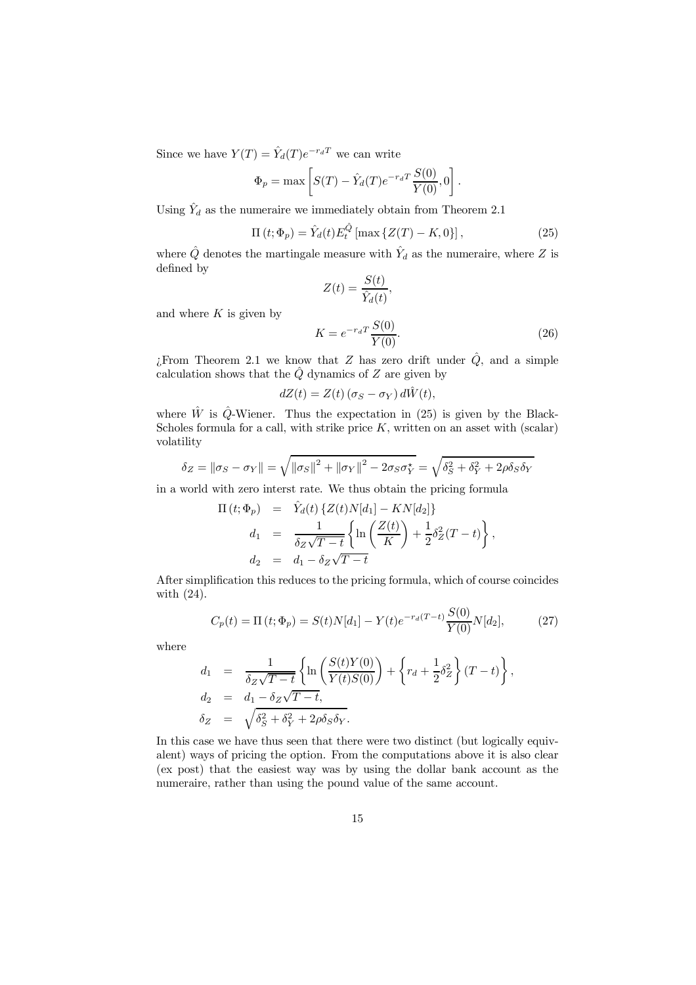Since we have  $Y(T) = \hat{Y}_d(T)e^{-r_dT}$  we can write

$$
\Phi_p = \max \left[ S(T) - \hat{Y}_d(T) e^{-r_d T} \frac{S(0)}{Y(0)}, 0 \right].
$$

Using  $\hat{Y}_d$  as the numeraire we immediately obtain from Theorem 2.1

$$
\Pi(t; \Phi_p) = \hat{Y}_d(t) E_t^{\hat{Q}} [\max \{Z(T) - K, 0\}], \qquad (25)
$$

*;*

where  $\hat{Q}$  denotes the martingale measure with  $\hat{Y}_d$  as the numeraire, where  $Z$  is defined by

$$
Z(t) = \frac{S(t)}{\hat{Y}_d(t)}
$$

and where *K* is given by

$$
K = e^{-r_d T} \frac{S(0)}{Y(0)}.
$$
\n(26)

 $\hat{L}$  From Theorem 2.1 we know that *Z* has zero drift under  $\hat{Q}$ , and a simple calculation shows that the  $\hat{Q}$  dynamics of  $Z$  are given by

$$
dZ(t) = Z(t) (\sigma_S - \sigma_Y) d\hat{W}(t),
$$

where  $\hat{W}$  is  $\hat{Q}$ -Wiener. Thus the expectation in (25) is given by the Black-Scholes formula for a call, with strike price  $K$ , written on an asset with (scalar) volatility

$$
\delta_Z = \|\sigma_S - \sigma_Y\| = \sqrt{\|\sigma_S\|^2 + \|\sigma_Y\|^2 - 2\sigma_S\sigma_Y^*} = \sqrt{\delta_S^2 + \delta_Y^2 + 2\rho\delta_S\delta_Y}
$$

in a world with zero interst rate. We thus obtain the pricing formula

$$
\Pi(t; \Phi_p) = \hat{Y}_d(t) \{ Z(t)N[d_1] - KN[d_2] \}
$$
\n
$$
d_1 = \frac{1}{\delta_Z \sqrt{T-t}} \left\{ \ln \left( \frac{Z(t)}{K} \right) + \frac{1}{2} \delta_Z^2 (T-t) \right\},
$$
\n
$$
d_2 = d_1 - \delta_Z \sqrt{T-t}
$$

After simplification this reduces to the pricing formula, which of course coincides with (24).

$$
C_p(t) = \Pi(t; \Phi_p) = S(t)N[d_1] - Y(t)e^{-r_d(T-t)}\frac{S(0)}{Y(0)}N[d_2],
$$
 (27)

where

$$
d_1 = \frac{1}{\delta_Z \sqrt{T-t}} \left\{ \ln \left( \frac{S(t)Y(0)}{Y(t)S(0)} \right) + \left\{ r_d + \frac{1}{2} \delta_Z^2 \right\} (T-t) \right\},
$$
  
\n
$$
d_2 = d_1 - \delta_Z \sqrt{T-t},
$$
  
\n
$$
\delta_Z = \sqrt{\delta_S^2 + \delta_Y^2 + 2\rho \delta_S \delta_Y}.
$$

In this case we have thus seen that there were two distinct (but logically equivalent) ways of pricing the option. From the computations above it is also clear (ex post) that the easiest way was by using the dollar bank account as the numeraire, rather than using the pound value of the same account.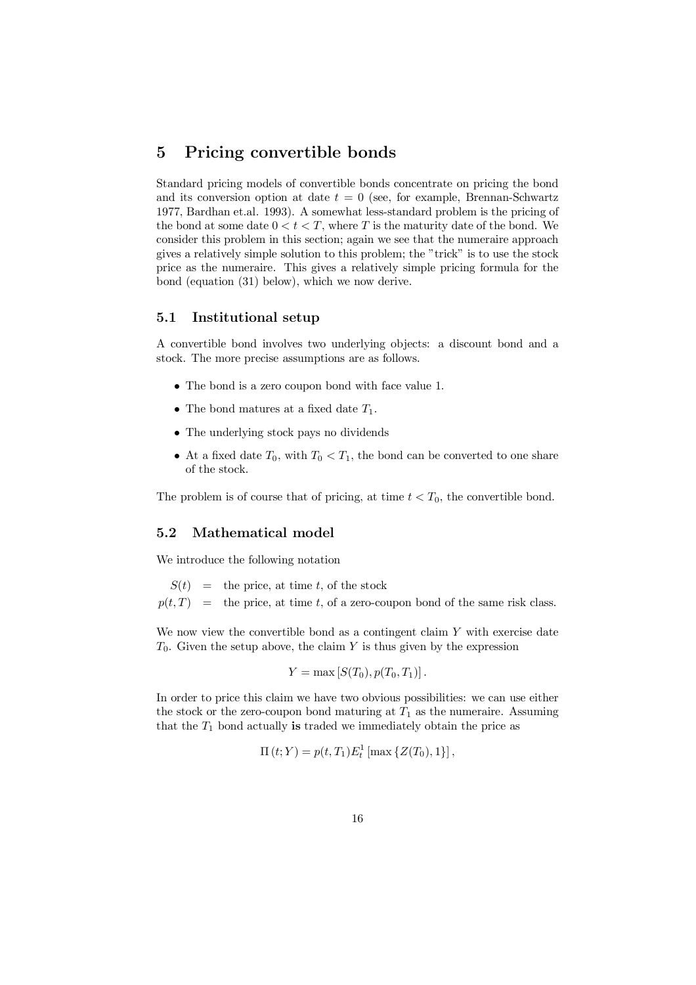# 5 Pricing convertible bonds

Standard pricing models of convertible bonds concentrate on pricing the bond and its conversion option at date  $t = 0$  (see, for example, Brennan-Schwartz 1977, Bardhan et.al. 1993). A somewhat less-standard problem is the pricing of the bond at some date  $0 < t < T$ , where *T* is the maturity date of the bond. We consider this problem in this section; again we see that the numeraire approach gives a relatively simple solution to this problem; the "trick" is to use the stock price as the numeraire. This gives a relatively simple pricing formula for the bond (equation (31) below), which we now derive.

#### 5.1 Institutional setup

A convertible bond involves two underlying objects: a discount bond and a stock. The more precise assumptions are as follows.

- The bond is a zero coupon bond with face value 1.
- The bond matures at a fixed date  $T_1$ .
- The underlying stock pays no dividends
- At a fixed date  $T_0$ , with  $T_0 < T_1$ , the bond can be converted to one share of the stock.

The problem is of course that of pricing, at time  $t < T_0$ , the convertible bond.

### 5.2 Mathematical model

We introduce the following notation

 $S(t) =$  the price, at time *t*, of the stock  $p(t,T)$  = the price, at time *t*, of a zero-coupon bond of the same risk class.

We now view the convertible bond as a contingent claim *Y* with exercise date  $T_0$ . Given the setup above, the claim *Y* is thus given by the expression

$$
Y=\max\left[S(T_0),p(T_0,T_1)\right].
$$

In order to price this claim we have two obvious possibilities: we can use either the stock or the zero-coupon bond maturing at  $T_1$  as the numeraire. Assuming that the  $T_1$  bond actually is traded we immediately obtain the price as

 $\Pi(t;Y) = p(t,T_1)E_t^1 \left[ \max \{Z(T_0),1\} \right],$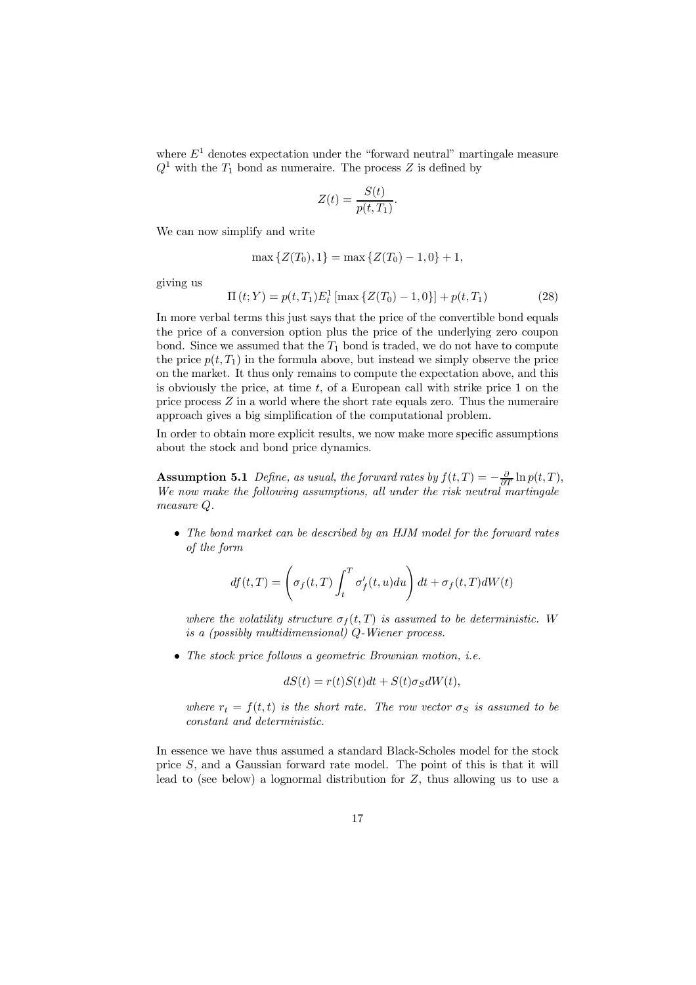where  $E^1$  denotes expectation under the "forward neutral" martingale measure  $Q<sup>1</sup>$  with the  $T<sub>1</sub>$  bond as numeraire. The process *Z* is defined by

$$
Z(t) = \frac{S(t)}{p(t,T_1)}.
$$

We can now simplify and write

$$
\max\{Z(T_0), 1\} = \max\{Z(T_0) - 1, 0\} + 1,
$$

giving us

$$
\Pi(t;Y) = p(t,T_1)E_t^1[\max\{Z(T_0) - 1,0\}] + p(t,T_1)
$$
\n(28)

In more verbal terms this just says that the price of the convertible bond equals the price of a conversion option plus the price of the underlying zero coupon bond. Since we assumed that the  $T_1$  bond is traded, we do not have to compute the price  $p(t, T_1)$  in the formula above, but instead we simply observe the price on the market. It thus only remains to compute the expectation above, and this is obviously the price, at time *t*, of a European call with strike price 1 on the price process *Z* in a world where the short rate equals zero. Thus the numeraire approach gives a big simplification of the computational problem.

In order to obtain more explicit results, we now make more specific assumptions about the stock and bond price dynamics.

**Assumption 5.1** *Define, as usual, the forward rates by*  $f(t,T) = -\frac{\partial}{\partial T} \ln p(t,T)$ , *We now make the following assumptions, all under the risk neutral martingale measure Q.*

*² The bond market can be described by an HJM model for the forward rates of the form*

$$
df(t,T) = \left(\sigma_f(t,T) \int_t^T \sigma'_f(t,u) du\right) dt + \sigma_f(t,T) dW(t)
$$

where the volatility structure  $\sigma_f(t,T)$  is assumed to be deterministic. W *is a (possibly multidimensional) Q-Wiener process.*

*² The stock price follows a geometric Brownian motion, i.e.*

$$
dS(t) = r(t)S(t)dt + S(t)\sigma_S dW(t),
$$

*where*  $r_t = f(t, t)$  *is the short rate. The row vector*  $\sigma_S$  *is assumed to be constant and deterministic.*

In essence we have thus assumed a standard Black-Scholes model for the stock price *S*, and a Gaussian forward rate model. The point of this is that it will lead to (see below) a lognormal distribution for *Z*, thus allowing us to use a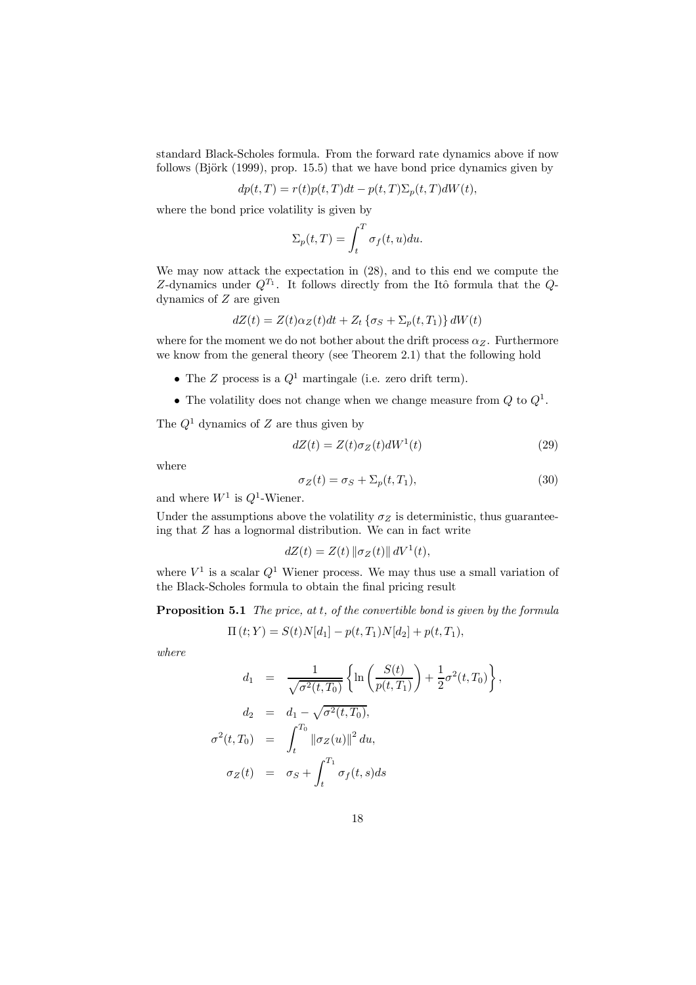standard Black-Scholes formula. From the forward rate dynamics above if now follows (Björk (1999), prop. 15.5) that we have bond price dynamics given by

$$
dp(t,T) = r(t)p(t,T)dt - p(t,T)\Sigma_p(t,T)dW(t),
$$

where the bond price volatility is given by

$$
\Sigma_p(t,T) = \int_t^T \sigma_f(t,u) du.
$$

We may now attack the expectation in (28), and to this end we compute the *Z*-dynamics under *Q<sup>T</sup>*<sup>1</sup> . It follows directly from the It^o formula that the *Q*dynamics of *Z* are given

$$
dZ(t) = Z(t)\alpha_Z(t)dt + Z_t \{\sigma_S + \Sigma_p(t,T_1)\} dW(t)
$$

where for the moment we do not bother about the drift process  $\alpha_Z$ . Furthermore we know from the general theory (see Theorem 2.1) that the following hold

- *<sup>²</sup>* The *<sup>Z</sup>* process is <sup>a</sup> *<sup>Q</sup>*<sup>1</sup> martingale (i.e. zero drift term).
- *<sup>²</sup>* The volatility does not change when we change measure from *<sup>Q</sup>* to *<sup>Q</sup>*<sup>1</sup> .

The *Q*<sup>1</sup> dynamics of *Z* are thus given by

$$
dZ(t) = Z(t)\sigma_Z(t)dW^1(t)
$$
\n(29)

where

$$
\sigma_Z(t) = \sigma_S + \Sigma_p(t, T_1),\tag{30}
$$

*;*

and where  $W^1$  is  $Q^1$ -Wiener.

Under the assumptions above the volatility  $\sigma_Z$  is deterministic, thus guaranteeing that *Z* has a lognormal distribution. We can in fact write

$$
dZ(t) = Z(t) \| \sigma_Z(t) \| dV^1(t),
$$

where  $V^1$  is a scalar  $Q^1$  Wiener process. We may thus use a small variation of the Black-Scholes formula to obtain the final pricing result

Proposition 5.1 *The price, at t, of the convertible bond is given by the formula*

$$
\Pi(t;Y) = S(t)N[d_1] - p(t,T_1)N[d_2] + p(t,T_1),
$$

*where*

$$
d_1 = \frac{1}{\sqrt{\sigma^2(t,T_0)}} \left\{ \ln \left( \frac{S(t)}{p(t,T_1)} \right) + \frac{1}{2} \sigma^2(t,T_0) \right\}
$$
  
\n
$$
d_2 = d_1 - \sqrt{\sigma^2(t,T_0)},
$$
  
\n
$$
\sigma^2(t,T_0) = \int_t^{T_0} ||\sigma_Z(u)||^2 du,
$$
  
\n
$$
\sigma_Z(t) = \sigma_S + \int_t^{T_1} \sigma_f(t,s) ds
$$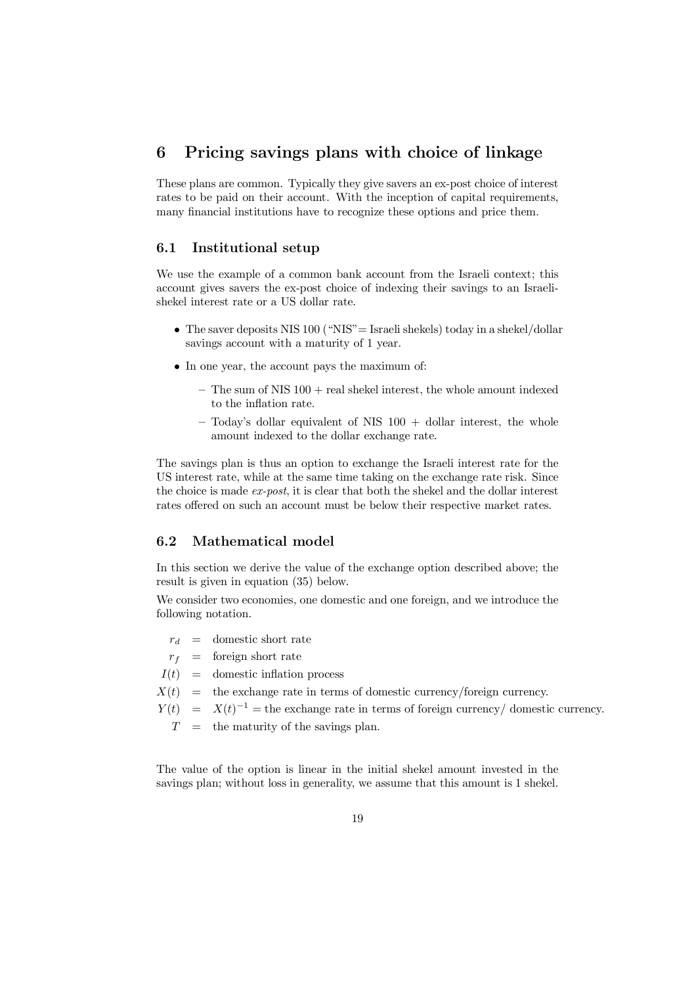# 6 Pricing savings plans with choice of linkage

These plans are common. Typically they give savers an ex-post choice of interest rates to be paid on their account. With the inception of capital requirements, many financial institutions have to recognize these options and price them.

### 6.1 Institutional setup

We use the example of a common bank account from the Israeli context; this account gives savers the ex-post choice of indexing their savings to an Israelishekel interest rate or a US dollar rate.

- The saver deposits NIS 100 ("NIS" = Israeli shekels) today in a shekel/dollar savings account with a maturity of 1 year.
- In one year, the account pays the maximum of:
	- $-$  The sum of NIS 100 + real shekel interest, the whole amount indexed to the inflation rate.
	- $-$  Today's dollar equivalent of NIS 100 + dollar interest, the whole amount indexed to the dollar exchange rate.

The savings plan is thus an option to exchange the Israeli interest rate for the US interest rate, while at the same time taking on the exchange rate risk. Since the choice is made *ex-post*, it is clear that both the shekel and the dollar interest rates offered on such an account must be below their respective market rates.

## 6.2 Mathematical model

In this section we derive the value of the exchange option described above; the result is given in equation (35) below.

We consider two economies, one domestic and one foreign, and we introduce the following notation.

- $r_d$  = domestic short rate
- $r_f$  = foreign short rate
- $I(t)$  = domestic inflation process
- $X(t)$  = the exchange rate in terms of domestic currency/foreign currency.
- $Y(t) = X(t)^{-1}$  = the exchange rate in terms of foreign currency/ domestic currency.
	- $T =$  the maturity of the savings plan.

The value of the option is linear in the initial shekel amount invested in the savings plan; without loss in generality, we assume that this amount is 1 shekel.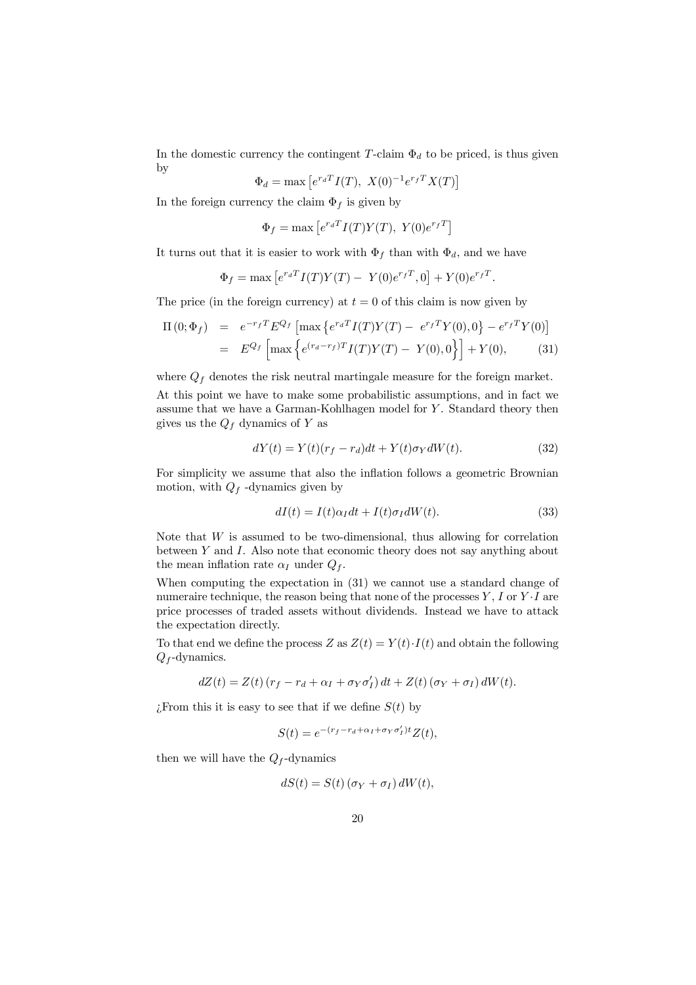In the domestic currency the contingent *T*-claim  $\Phi_d$  to be priced, is thus given by

$$
\Phi_d = \max [e^{r_d T} I(T), X(0)^{-1} e^{r_f T} X(T)]
$$

In the foreign currency the claim  $\Phi_f$  is given by

$$
\Phi_f = \max\left[e^{r_d T} I(T) Y(T), Y(0)e^{r_f T}\right]
$$

It turns out that it is easier to work with  $\Phi_f$  than with  $\Phi_d$ , and we have

$$
\Phi_f = \max \left[ e^{r_d T} I(T) Y(T) - Y(0) e^{r_f T}, 0 \right] + Y(0) e^{r_f T}.
$$

The price (in the foreign currency) at  $t = 0$  of this claim is now given by

$$
\Pi(0; \Phi_f) = e^{-r_f T} E^{Q_f} \left[ \max \left\{ e^{r_d T} I(T) Y(T) - e^{r_f T} Y(0), 0 \right\} - e^{r_f T} Y(0) \right]
$$
  
=  $E^{Q_f} \left[ \max \left\{ e^{(r_d - r_f) T} I(T) Y(T) - Y(0), 0 \right\} \right] + Y(0),$  (31)

where  $Q_f$  denotes the risk neutral martingale measure for the foreign market.

At this point we have to make some probabilistic assumptions, and in fact we assume that we have a Garman-Kohlhagen model for *Y* . Standard theory then gives us the  $Q_f$  dynamics of  $Y$  as

$$
dY(t) = Y(t)(r_f - r_d)dt + Y(t)\sigma_Y dW(t).
$$
\n(32)

For simplicity we assume that also the inflation follows a geometric Brownian motion, with  $Q_f$  -dynamics given by

$$
dI(t) = I(t)\alpha_I dt + I(t)\sigma_I dW(t).
$$
\n(33)

Note that *W* is assumed to be two-dimensional, thus allowing for correlation between *Y* and *I*. Also note that economic theory does not say anything about the mean inflation rate  $\alpha$ <sup>*I*</sup> under  $Q$ <sup>*f*</sup>.

When computing the expectation in (31) we cannot use a standard change of numeraire technique, the reason being that none of the processes  $Y, I$  or  $Y \cdot I$  are price processes of traded assets without dividends. Instead we have to attack the expectation directly.

To that end we define the process *Z* as  $Z(t) = Y(t) \cdot I(t)$  and obtain the following *Q<sup>f</sup>* -dynamics.

$$
dZ(t) = Z(t) (r_f - r_d + \alpha_I + \sigma_Y \sigma'_I) dt + Z(t) (\sigma_Y + \sigma_I) dW(t).
$$

 $\sum_{i=1}^{n}$  *From this it is easy to see that if we define*  $S(t)$  *by* 

$$
S(t) = e^{-(r_f - r_d + \alpha_I + \sigma_Y \sigma'_I)t} Z(t),
$$

then we will have the  $Q_f$ -dynamics

$$
dS(t) = S(t) (\sigma_Y + \sigma_I) dW(t),
$$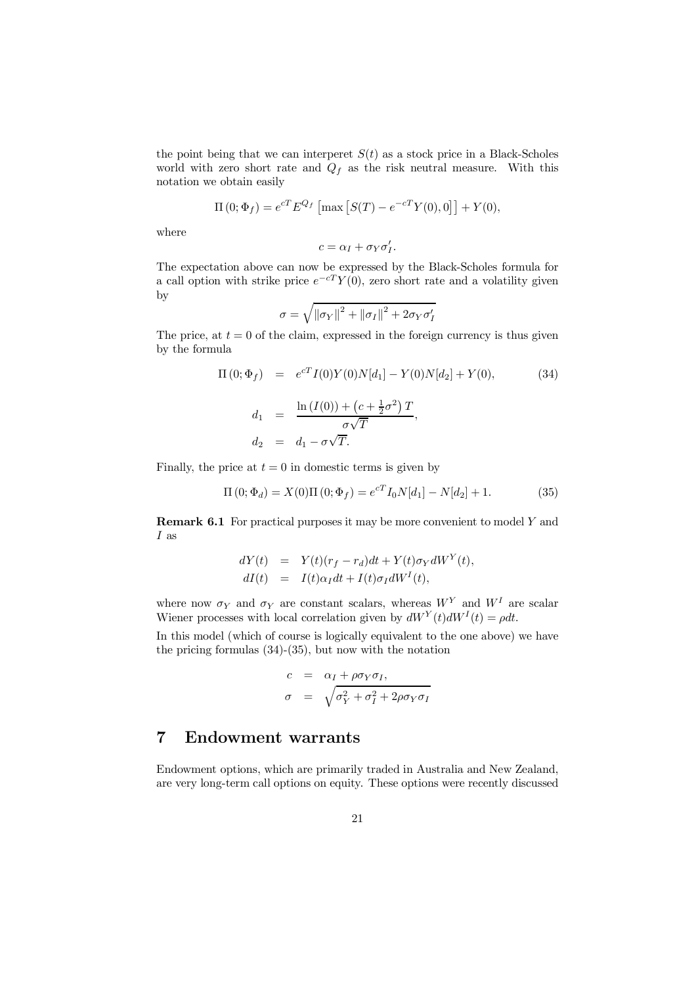the point being that we can interperet  $S(t)$  as a stock price in a Black-Scholes world with zero short rate and  $Q_f$  as the risk neutral measure. With this notation we obtain easily

$$
\Pi(0; \Phi_f) = e^{cT} E^{Q_f} [\max [S(T) - e^{-cT} Y(0), 0]] + Y(0),
$$

where

$$
c = \alpha_I + \sigma_Y \sigma'_I.
$$

The expectation above can now be expressed by the Black-Scholes formula for a call option with strike price  $e^{-cT}Y(0)$ , zero short rate and a volatility given by

$$
\sigma = \sqrt{\left\|\sigma_Y\right\|^2 + \left\|\sigma_I\right\|^2 + 2\sigma_Y\sigma_I'}
$$

The price, at  $t = 0$  of the claim, expressed in the foreign currency is thus given by the formula

$$
\Pi(0; \Phi_f) = e^{cT} I(0) Y(0) N[d_1] - Y(0) N[d_2] + Y(0),
$$
\n(34)\n
$$
d_1 = \frac{\ln(I(0)) + (c + \frac{1}{2}\sigma^2) T}{\sigma \sqrt{T}},
$$
\n
$$
d_2 = d_1 - \sigma \sqrt{T}.
$$

Finally, the price at  $t = 0$  in domestic terms is given by

$$
\Pi(0; \Phi_d) = X(0)\Pi(0; \Phi_f) = e^{cT}I_0N[d_1] - N[d_2] + 1.
$$
 (35)

Remark 6.1 For practical purposes it may be more convenient to model *Y* and *I* as

$$
dY(t) = Y(t)(r_f - r_d)dt + Y(t)\sigma_Y dW^Y(t),
$$
  
\n
$$
dI(t) = I(t)\alpha_I dt + I(t)\sigma_I dW^I(t),
$$

where now  $\sigma_Y$  and  $\sigma_Y$  are constant scalars, whereas  $W^Y$  and  $W^I$  are scalar Wiener processes with local correlation given by  $dW^{Y}(t)dW^{I}(t) = \rho dt$ .

In this model (which of course is logically equivalent to the one above) we have the pricing formulas (34)-(35), but now with the notation

$$
c = \alpha_I + \rho \sigma_Y \sigma_I,
$$
  
\n
$$
\sigma = \sqrt{\sigma_Y^2 + \sigma_I^2 + 2\rho \sigma_Y \sigma_I}
$$

# 7 Endowment warrants

Endowment options, which are primarily traded in Australia and New Zealand, are very long-term call options on equity. These options were recently discussed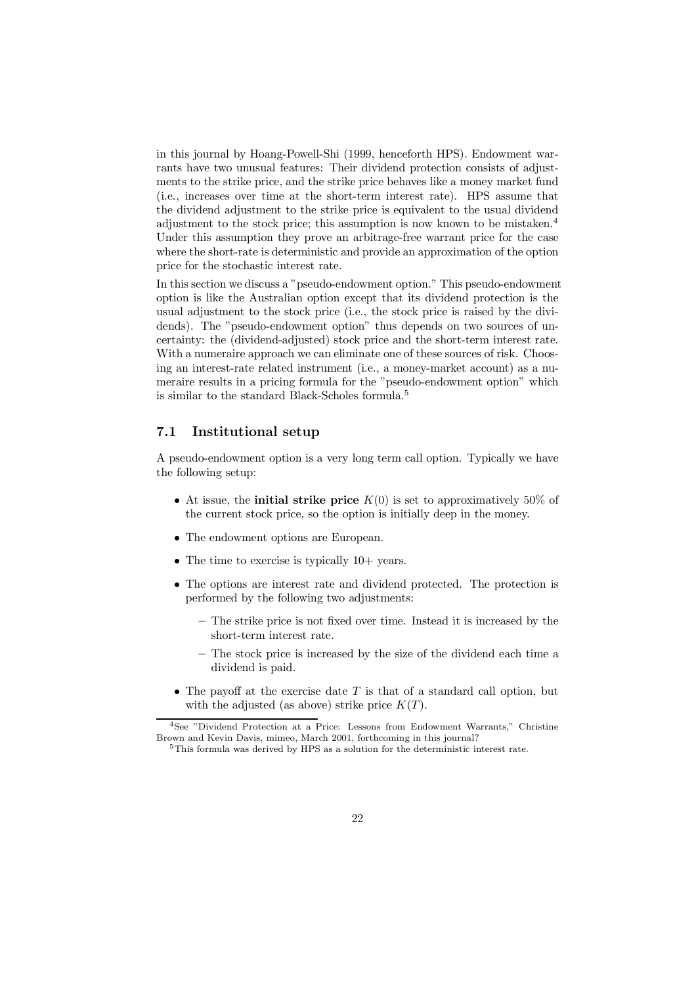in this journal by Hoang-Powell-Shi (1999, henceforth HPS). Endowment warrants have two unusual features: Their dividend protection consists of adjustments to the strike price, and the strike price behaves like a money market fund (i.e., increases over time at the short-term interest rate). HPS assume that the dividend adjustment to the strike price is equivalent to the usual dividend adjustment to the stock price; this assumption is now known to be mistaken. 4 Under this assumption they prove an arbitrage-free warrant price for the case where the short-rate is deterministic and provide an approximation of the option price for the stochastic interest rate.

In this section we discuss a "pseudo-endowment option." This pseudo-endowment option is like the Australian option except that its dividend protection is the usual adjustment to the stock price (i.e., the stock price is raised by the dividends). The "pseudo-endowment option" thus depends on two sources of uncertainty: the (dividend-adjusted) stock price and the short-term interest rate. With a numeraire approach we can eliminate one of these sources of risk. Choosing an interest-rate related instrument (i.e., a money-market account) as a numeraire results in a pricing formula for the "pseudo-endowment option" which is similar to the standard Black-Scholes formula. 5

## 7.1 Institutional setup

A pseudo-endowment option is a very long term call option. Typically we have the following setup:

- At issue, the **initial strike price**  $K(0)$  is set to approximatively 50% of the current stock price, so the option is initially deep in the money.
- The endowment options are European.
- The time to exercise is typically  $10+$  years.
- The options are interest rate and dividend protected. The protection is performed by the following two adjustments:
	- ${\bf -}$  The strike price is not fixed over time. Instead it is increased by the short-term interest rate.
	- The stock price is increased by the size of the dividend each time a dividend is paid.
- The payoff at the exercise date  $T$  is that of a standard call option, but with the adjusted (as above) strike price  $K(T)$ .

<sup>&</sup>lt;sup>4</sup>See "Dividend Protection at a Price: Lessons from Endowment Warrants," Christine Brown and Kevin Davis, mimeo, March 2001, forthcoming in this journal?

<sup>&</sup>lt;sup>5</sup>This formula was derived by HPS as a solution for the deterministic interest rate.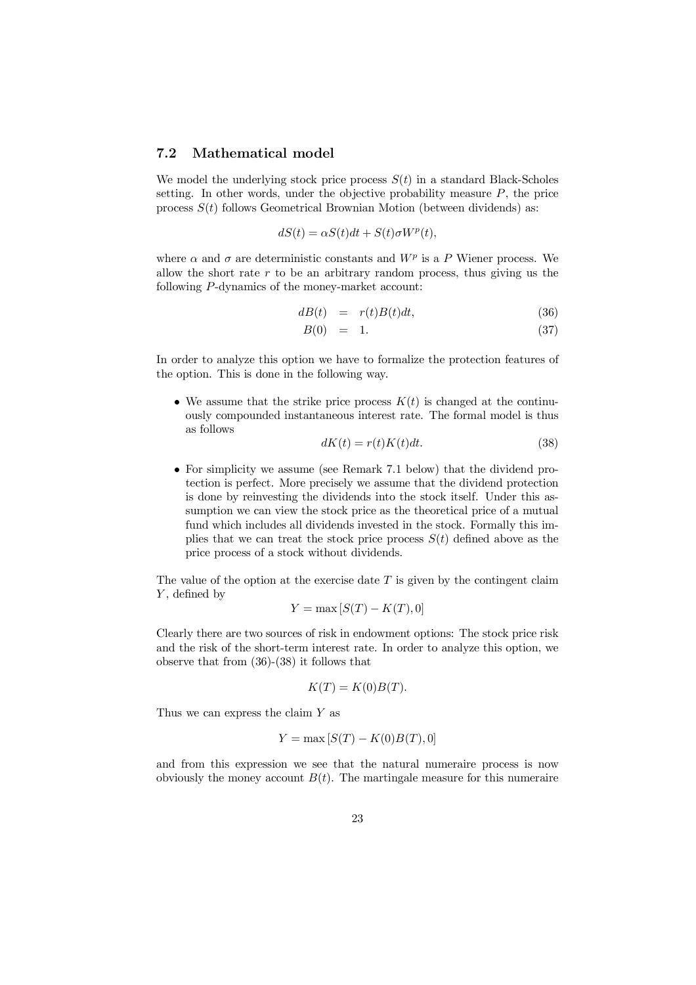### 7.2 Mathematical model

We model the underlying stock price process  $S(t)$  in a standard Black-Scholes setting. In other words, under the objective probability measure *P*, the price process *S*(*t*) follows Geometrical Brownian Motion (between dividends) as:

$$
dS(t) = \alpha S(t)dt + S(t)\sigma W^{p}(t),
$$

where  $\alpha$  and  $\sigma$  are deterministic constants and  $W^p$  is a P Wiener process. We allow the short rate *r* to be an arbitrary random process, thus giving us the following *P*-dynamics of the money-market account:

$$
dB(t) = r(t)B(t)dt, \t\t(36)
$$

$$
B(0) = 1. \tag{37}
$$

In order to analyze this option we have to formalize the protection features of the option. This is done in the following way.

• We assume that the strike price process  $K(t)$  is changed at the continuously compounded instantaneous interest rate. The formal model is thus as follows

$$
dK(t) = r(t)K(t)dt.
$$
\n(38)

• For simplicity we assume (see Remark 7.1 below) that the dividend protection is perfect. More precisely we assume that the dividend protection is done by reinvesting the dividends into the stock itself. Under this assumption we can view the stock price as the theoretical price of a mutual fund which includes all dividends invested in the stock. Formally this implies that we can treat the stock price process  $S(t)$  defined above as the price process of a stock without dividends.

The value of the option at the exercise date *T* is given by the contingent claim *Y*, defined by

$$
Y = \max\left[S(T) - K(T), 0\right]
$$

Clearly there are two sources of risk in endowment options: The stock price risk and the risk of the short-term interest rate. In order to analyze this option, we observe that from (36)-(38) it follows that

$$
K(T) = K(0)B(T).
$$

Thus we can express the claim *Y* as

$$
Y = \max\left[S(T) - K(0)B(T), 0\right]
$$

and from this expression we see that the natural numeraire process is now obviously the money account  $B(t)$ . The martingale measure for this numeraire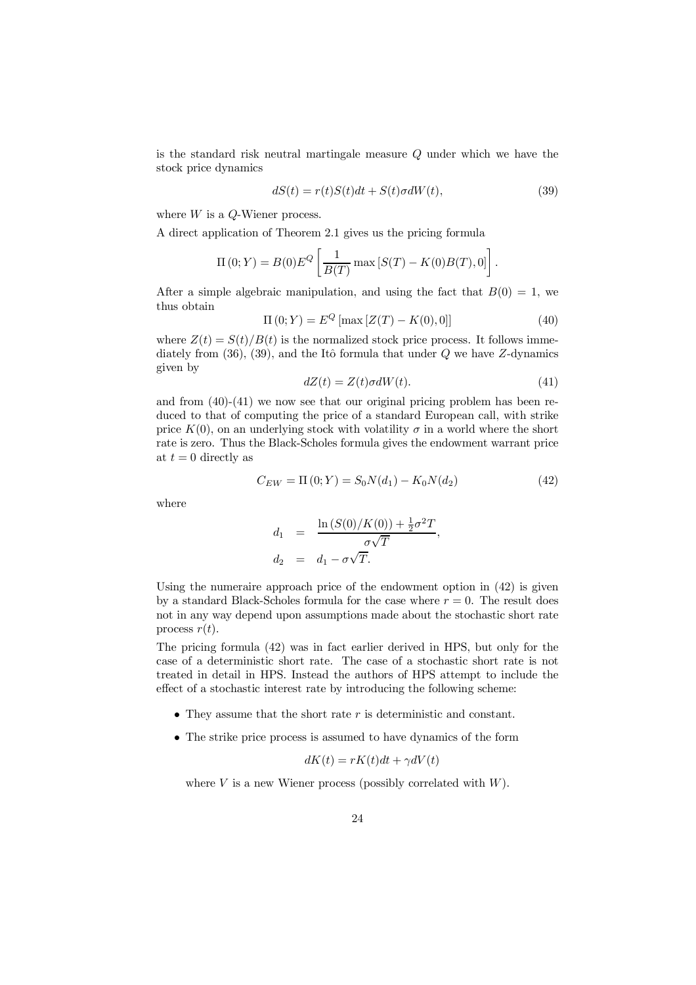is the standard risk neutral martingale measure *Q* under which we have the stock price dynamics

$$
dS(t) = r(t)S(t)dt + S(t)\sigma dW(t),
$$
\n(39)

where *W* is a *Q*-Wiener process.

A direct application of Theorem 2.1 gives us the pricing formula

$$
\Pi(0;Y) = B(0)E^{Q}\left[\frac{1}{B(T)} \max [S(T) - K(0)B(T), 0]\right].
$$

After a simple algebraic manipulation, and using the fact that  $B(0) = 1$ , we thus obtain

$$
\Pi(0;Y) = E^{Q} [\max [Z(T) - K(0), 0]] \tag{40}
$$

where  $Z(t) = S(t)/B(t)$  is the normalized stock price process. It follows immediately from  $(36)$ ,  $(39)$ , and the Itô formula that under *Q* we have *Z*-dynamics given by

$$
dZ(t) = Z(t)\sigma dW(t). \tag{41}
$$

and from (40)-(41) we now see that our original pricing problem has been reduced to that of computing the price of a standard European call, with strike price  $K(0)$ , on an underlying stock with volatility  $\sigma$  in a world where the short rate is zero. Thus the Black-Scholes formula gives the endowment warrant price at  $t = 0$  directly as

$$
C_{EW} = \Pi(0;Y) = S_0 N(d_1) - K_0 N(d_2)
$$
\n(42)

where

$$
d_1 = \frac{\ln (S(0)/K(0)) + \frac{1}{2}\sigma^2 T}{\sigma\sqrt{T}},
$$
  

$$
d_2 = d_1 - \sigma\sqrt{T}.
$$

Using the numeraire approach price of the endowment option in (42) is given by a standard Black-Scholes formula for the case where  $r = 0$ . The result does not in any way depend upon assumptions made about the stochastic short rate process  $r(t)$ .

The pricing formula (42) was in fact earlier derived in HPS, but only for the case of a deterministic short rate. The case of a stochastic short rate is not treated in detail in HPS. Instead the authors of HPS attempt to include the effect of a stochastic interest rate by introducing the following scheme:

- They assume that the short rate *r* is deterministic and constant.
- The strike price process is assumed to have dynamics of the form

$$
dK(t) = rK(t)dt + \gamma dV(t)
$$

where *V* is a new Wiener process (possibly correlated with *W*).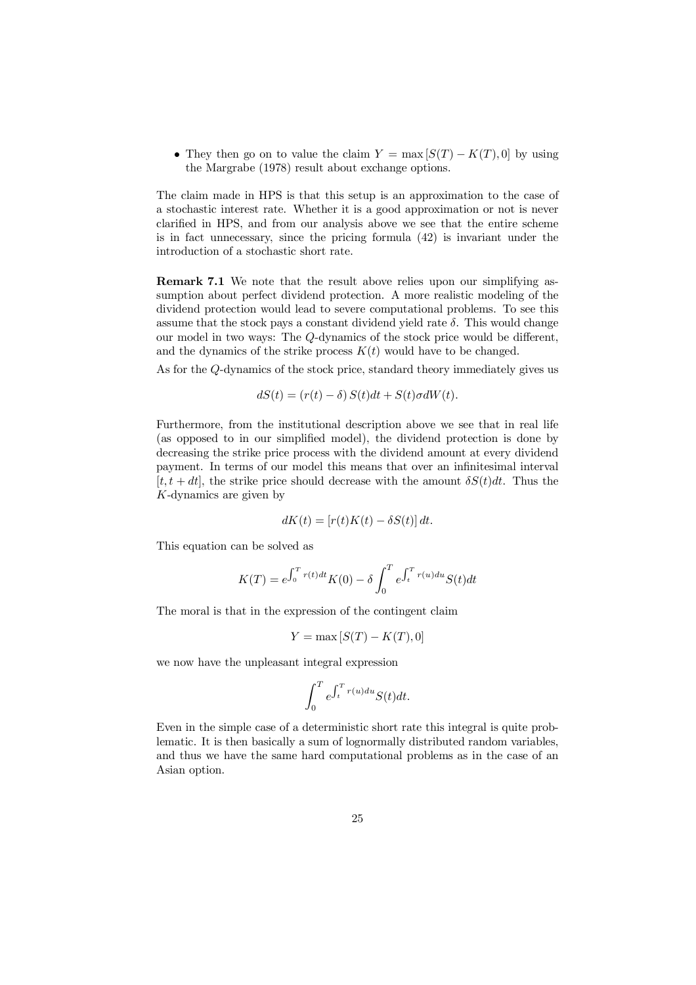• They then go on to value the claim  $Y = \max [S(T) - K(T), 0]$  by using the Margrabe (1978) result about exchange options.

The claim made in HPS is that this setup is an approximation to the case of a stochastic interest rate. Whether it is a good approximation or not is never clarified in HPS, and from our analysis above we see that the entire scheme is in fact unnecessary, since the pricing formula (42) is invariant under the introduction of a stochastic short rate.

Remark 7.1 We note that the result above relies upon our simplifying assumption about perfect dividend protection. A more realistic modeling of the dividend protection would lead to severe computational problems. To see this assume that the stock pays a constant dividend yield rate  $\delta$ . This would change our model in two ways: The *Q*-dynamics of the stock price would be different, and the dynamics of the strike process  $K(t)$  would have to be changed.

As for the *Q*-dynamics of the stock price, standard theory immediately gives us

$$
dS(t) = (r(t) - \delta) S(t)dt + S(t)\sigma dW(t).
$$

Furthermore, from the institutional description above we see that in real life (as opposed to in our simplified model), the dividend protection is done by decreasing the strike price process with the dividend amount at every dividend payment. In terms of our model this means that over an infinitesimal interval  $[t, t + dt]$ , the strike price should decrease with the amount  $\delta S(t)dt$ . Thus the *K*-dynamics are given by

$$
dK(t) = [r(t)K(t) - \delta S(t)] dt.
$$

This equation can be solved as

$$
K(T) = e^{\int_0^T r(t)dt} K(0) - \delta \int_0^T e^{\int_t^T r(u)du} S(t) dt
$$

The moral is that in the expression of the contingent claim

$$
Y = \max\left[S(T) - K(T), 0\right]
$$

we now have the unpleasant integral expression

$$
\int_0^T e^{\int_t^T r(u)du} S(t)dt.
$$

Even in the simple case of a deterministic short rate this integral is quite problematic. It is then basically a sum of lognormally distributed random variables, and thus we have the same hard computational problems as in the case of an Asian option.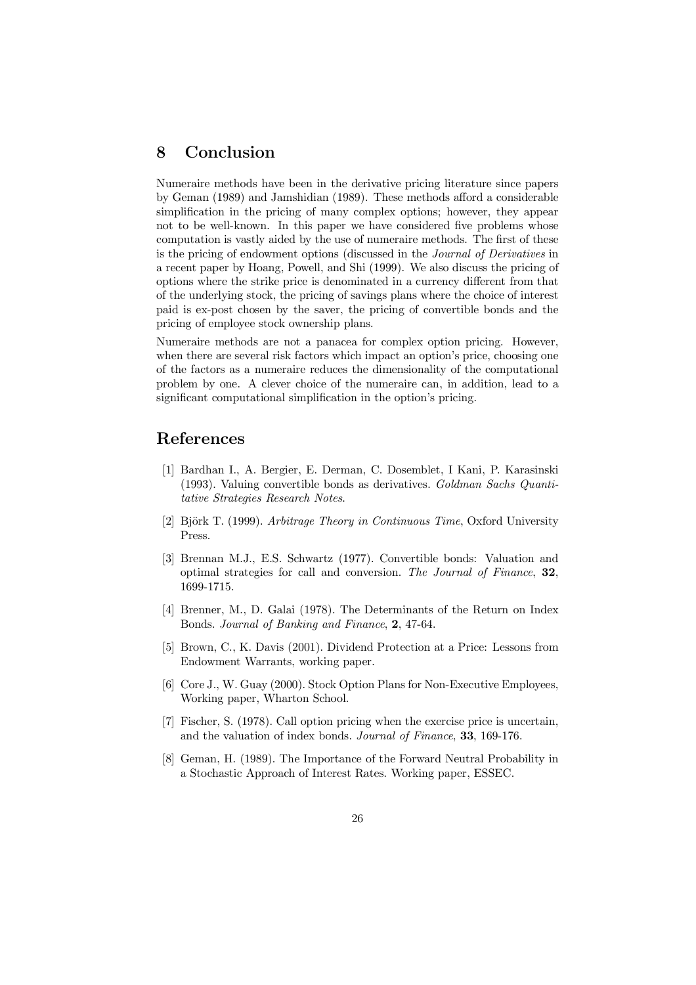# 8 Conclusion

Numeraire methods have been in the derivative pricing literature since papers by Geman (1989) and Jamshidian (1989). These methods afford a considerable simplification in the pricing of many complex options; however, they appear not to be well-known. In this paper we have considered five problems whose computation is vastly aided by the use of numeraire methods. The first of these is the pricing of endowment options (discussed in the *Journal of Derivatives* in a recent paper by Hoang, Powell, and Shi (1999). We also discuss the pricing of options where the strike price is denominated in a currency different from that of the underlying stock, the pricing of savings plans where the choice of interest paid is ex-post chosen by the saver, the pricing of convertible bonds and the pricing of employee stock ownership plans.

Numeraire methods are not a panacea for complex option pricing. However, when there are several risk factors which impact an option's price, choosing one of the factors as a numeraire reduces the dimensionality of the computational problem by one. A clever choice of the numeraire can, in addition, lead to a significant computational simplification in the option's pricing.

# References

- [1] Bardhan I., A. Bergier, E. Derman, C. Dosemblet, I Kani, P. Karasinski (1993). Valuing convertible bonds as derivatives. *Goldman Sachs Quantitative Strategies Research Notes*.
- [2] BjÄork T. (1999). *Arbitrage Theory in Continuous Time*, Oxford University Press.
- [3] Brennan M.J., E.S. Schwartz (1977). Convertible bonds: Valuation and optimal strategies for call and conversion. *The Journal of Finance*, 32, 1699-1715.
- [4] Brenner, M., D. Galai (1978). The Determinants of the Return on Index Bonds. *Journal of Banking and Finance*, 2, 47-64.
- [5] Brown, C., K. Davis (2001). Dividend Protection at a Price: Lessons from Endowment Warrants, working paper.
- [6] Core J., W. Guay (2000). Stock Option Plans for Non-Executive Employees, Working paper, Wharton School.
- [7] Fischer, S. (1978). Call option pricing when the exercise price is uncertain, and the valuation of index bonds. *Journal of Finance*, 33, 169-176.
- [8] Geman, H. (1989). The Importance of the Forward Neutral Probability in a Stochastic Approach of Interest Rates. Working paper, ESSEC.